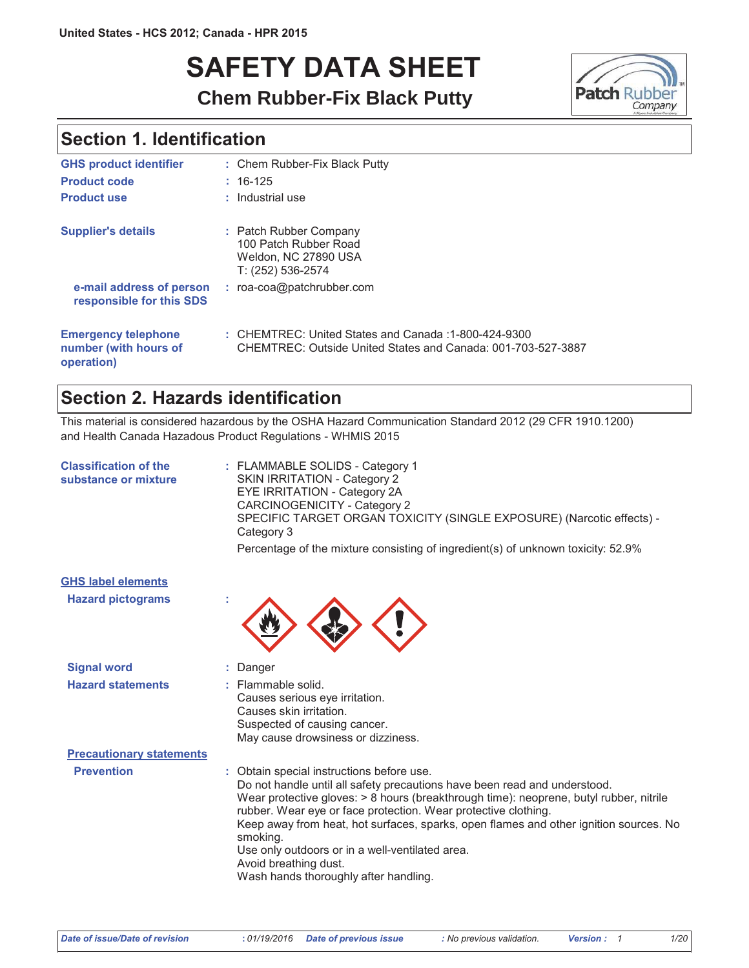# **SAFETY DATA SHEET**



# **Chem Rubber-Fix Black Putty**

### **Section 1. Identification**

| <b>GHS product identifier</b>                                     | : Chem Rubber-Fix Black Putty                                                                                        |
|-------------------------------------------------------------------|----------------------------------------------------------------------------------------------------------------------|
| <b>Product code</b>                                               | $: 16-125$                                                                                                           |
| <b>Product use</b>                                                | : Industrial use                                                                                                     |
| <b>Supplier's details</b>                                         | : Patch Rubber Company<br>100 Patch Rubber Road<br>Weldon, NC 27890 USA<br>T: (252) 536-2574                         |
| e-mail address of person<br>responsible for this SDS              | $:$ roa-coa@patchrubber.com                                                                                          |
| <b>Emergency telephone</b><br>number (with hours of<br>operation) | : CHEMTREC: United States and Canada: 1-800-424-9300<br>CHEMTREC: Outside United States and Canada: 001-703-527-3887 |

### Section 2. Hazards identification

This material is considered hazardous by the OSHA Hazard Communication Standard 2012 (29 CFR 1910.1200) and Health Canada Hazadous Product Regulations - WHMIS 2015

| : FLAMMABLE SOLIDS - Category 1<br>SKIN IRRITATION - Category 2<br><b>EYE IRRITATION - Category 2A</b><br>CARCINOGENICITY - Category 2<br>SPECIFIC TARGET ORGAN TOXICITY (SINGLE EXPOSURE) (Narcotic effects) -<br>Category 3<br>Percentage of the mixture consisting of ingredient(s) of unknown toxicity: 52.9%                                                                                                                                                                                            |
|--------------------------------------------------------------------------------------------------------------------------------------------------------------------------------------------------------------------------------------------------------------------------------------------------------------------------------------------------------------------------------------------------------------------------------------------------------------------------------------------------------------|
|                                                                                                                                                                                                                                                                                                                                                                                                                                                                                                              |
|                                                                                                                                                                                                                                                                                                                                                                                                                                                                                                              |
| : Danger                                                                                                                                                                                                                                                                                                                                                                                                                                                                                                     |
| : Flammable solid.<br>Causes serious eye irritation.<br>Causes skin irritation.<br>Suspected of causing cancer.<br>May cause drowsiness or dizziness.                                                                                                                                                                                                                                                                                                                                                        |
|                                                                                                                                                                                                                                                                                                                                                                                                                                                                                                              |
| : Obtain special instructions before use.<br>Do not handle until all safety precautions have been read and understood.<br>Wear protective gloves: > 8 hours (breakthrough time): neoprene, butyl rubber, nitrile<br>rubber. Wear eye or face protection. Wear protective clothing.<br>Keep away from heat, hot surfaces, sparks, open flames and other ignition sources. No<br>smoking.<br>Use only outdoors or in a well-ventilated area.<br>Avoid breathing dust.<br>Wash hands thoroughly after handling. |
|                                                                                                                                                                                                                                                                                                                                                                                                                                                                                                              |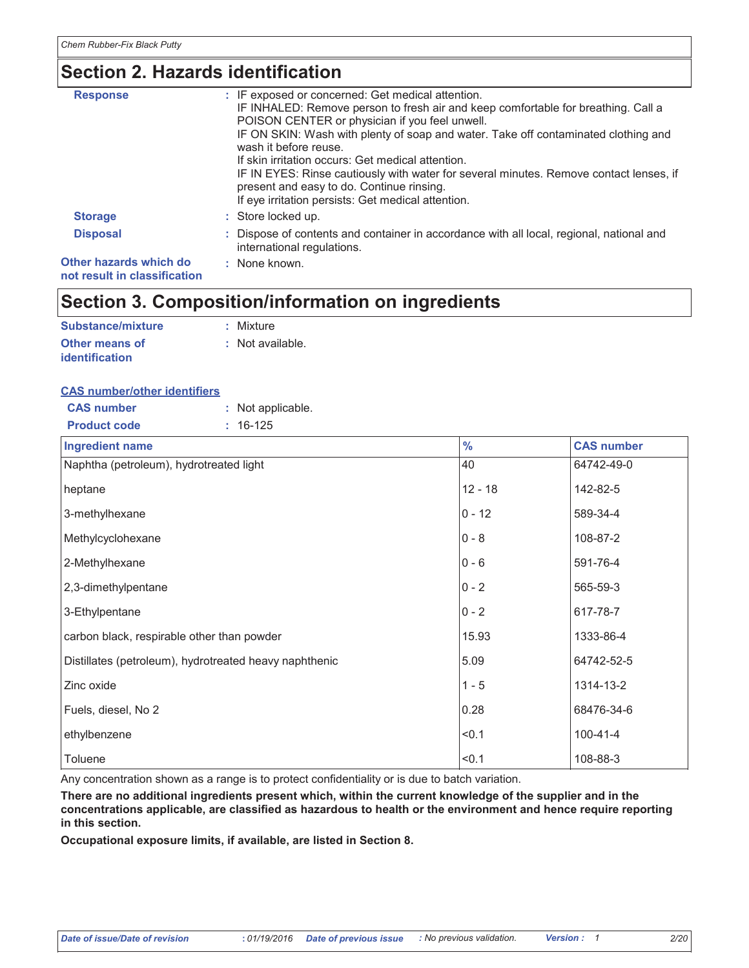# Section 2. Hazards identification

| <b>Response</b>                                        | : IF exposed or concerned: Get medical attention.<br>IF INHALED: Remove person to fresh air and keep comfortable for breathing. Call a<br>POISON CENTER or physician if you feel unwell.<br>IF ON SKIN: Wash with plenty of soap and water. Take off contaminated clothing and<br>wash it before reuse.<br>If skin irritation occurs: Get medical attention.<br>IF IN EYES: Rinse cautiously with water for several minutes. Remove contact lenses, if<br>present and easy to do. Continue rinsing.<br>If eye irritation persists: Get medical attention. |
|--------------------------------------------------------|-----------------------------------------------------------------------------------------------------------------------------------------------------------------------------------------------------------------------------------------------------------------------------------------------------------------------------------------------------------------------------------------------------------------------------------------------------------------------------------------------------------------------------------------------------------|
| <b>Storage</b>                                         | : Store locked up.                                                                                                                                                                                                                                                                                                                                                                                                                                                                                                                                        |
| <b>Disposal</b>                                        | : Dispose of contents and container in accordance with all local, regional, national and<br>international regulations.                                                                                                                                                                                                                                                                                                                                                                                                                                    |
| Other hazards which do<br>not result in classification | : None known.                                                                                                                                                                                                                                                                                                                                                                                                                                                                                                                                             |

### Section 3. Composition/information on ingredients

| Substance/mixture     | : Mixture        |
|-----------------------|------------------|
| <b>Other means of</b> | : Not available. |
| <b>identification</b> |                  |

### **CAS number/other identifiers**

| <b>CAS number</b><br>: Not applicable.                 |               |                   |
|--------------------------------------------------------|---------------|-------------------|
| <b>Product code</b><br>$: 16-125$                      |               |                   |
| <b>Ingredient name</b>                                 | $\frac{0}{0}$ | <b>CAS number</b> |
| Naphtha (petroleum), hydrotreated light                | 40            | 64742-49-0        |
| heptane                                                | $12 - 18$     | 142-82-5          |
| 3-methylhexane                                         | $0 - 12$      | 589-34-4          |
| Methylcyclohexane                                      | $0 - 8$       | 108-87-2          |
| 2-Methylhexane                                         | $0 - 6$       | 591-76-4          |
| 2,3-dimethylpentane                                    | $0 - 2$       | 565-59-3          |
| 3-Ethylpentane                                         | $0 - 2$       | 617-78-7          |
| carbon black, respirable other than powder             | 15.93         | 1333-86-4         |
| Distillates (petroleum), hydrotreated heavy naphthenic | 5.09          | 64742-52-5        |
| Zinc oxide                                             | $1 - 5$       | 1314-13-2         |
| Fuels, diesel, No 2                                    | 0.28          | 68476-34-6        |
| ethylbenzene                                           | < 0.1         | $100 - 41 - 4$    |
| Toluene                                                | < 0.1         | 108-88-3          |

Any concentration shown as a range is to protect confidentiality or is due to batch variation.

There are no additional ingredients present which, within the current knowledge of the supplier and in the concentrations applicable, are classified as hazardous to health or the environment and hence require reporting in this section.

Occupational exposure limits, if available, are listed in Section 8.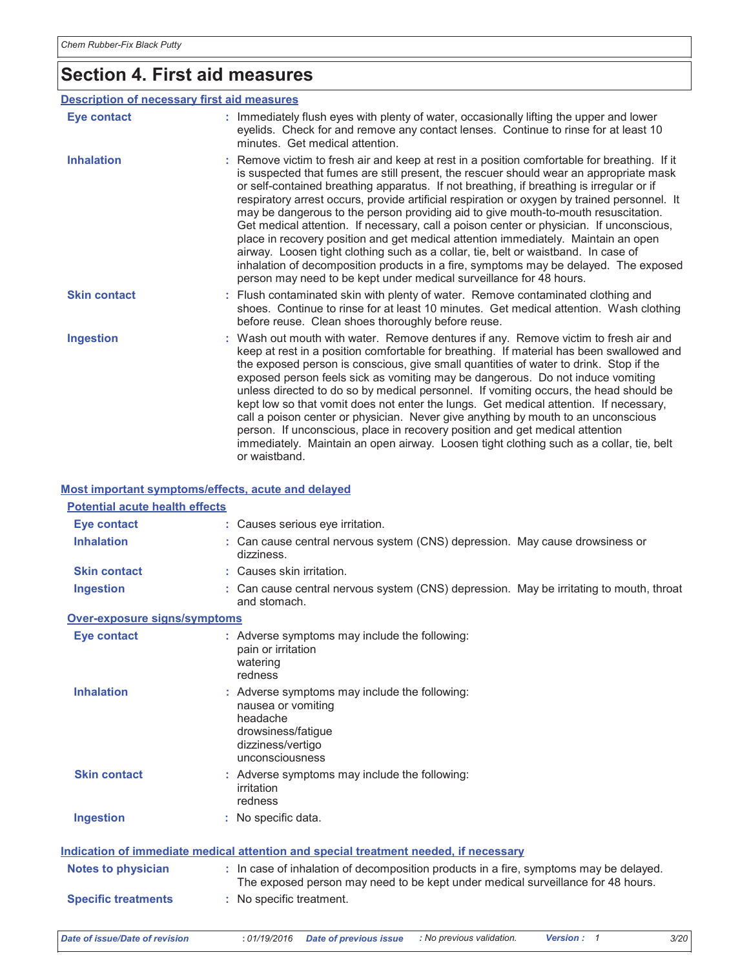### **Section 4. First aid measures**

#### **Description of necessary first aid measures Eye contact** : Immediately flush eyes with plenty of water, occasionally lifting the upper and lower eyelids. Check for and remove any contact lenses. Continue to rinse for at least 10 minutes. Get medical attention. **Inhalation** : Remove victim to fresh air and keep at rest in a position comfortable for breathing. If it is suspected that fumes are still present, the rescuer should wear an appropriate mask or self-contained breathing apparatus. If not breathing, if breathing is irregular or if respiratory arrest occurs, provide artificial respiration or oxygen by trained personnel. It may be dangerous to the person providing aid to give mouth-to-mouth resuscitation. Get medical attention. If necessary, call a poison center or physician. If unconscious, place in recovery position and get medical attention immediately. Maintain an open airway. Loosen tight clothing such as a collar, tie, belt or waistband. In case of inhalation of decomposition products in a fire, symptoms may be delayed. The exposed person may need to be kept under medical surveillance for 48 hours. **Skin contact** : Flush contaminated skin with plenty of water. Remove contaminated clothing and shoes. Continue to rinse for at least 10 minutes. Get medical attention. Wash clothing before reuse. Clean shoes thoroughly before reuse. **Ingestion** : Wash out mouth with water. Remove dentures if any. Remove victim to fresh air and keep at rest in a position comfortable for breathing. If material has been swallowed and the exposed person is conscious, give small quantities of water to drink. Stop if the exposed person feels sick as vomiting may be dangerous. Do not induce vomiting unless directed to do so by medical personnel. If vomiting occurs, the head should be kept low so that vomit does not enter the lungs. Get medical attention. If necessary, call a poison center or physician. Never give anything by mouth to an unconscious person. If unconscious, place in recovery position and get medical attention immediately. Maintain an open airway. Loosen tight clothing such as a collar, tie, belt or waisthand

#### Most important symptoms/effects, acute and delayed

| <b>Potential acute health effects</b> |                                                                                                                                                                          |
|---------------------------------------|--------------------------------------------------------------------------------------------------------------------------------------------------------------------------|
| <b>Eye contact</b>                    | : Causes serious eye irritation.                                                                                                                                         |
| <b>Inhalation</b>                     | : Can cause central nervous system (CNS) depression. May cause drowsiness or<br>dizziness.                                                                               |
| <b>Skin contact</b>                   | : Causes skin irritation.                                                                                                                                                |
| <b>Ingestion</b>                      | : Can cause central nervous system (CNS) depression. May be irritating to mouth, throat<br>and stomach.                                                                  |
| Over-exposure signs/symptoms          |                                                                                                                                                                          |
| <b>Eye contact</b>                    | : Adverse symptoms may include the following:<br>pain or irritation<br>watering<br>redness                                                                               |
| <b>Inhalation</b>                     | Adverse symptoms may include the following:<br>nausea or vomiting<br>headache<br>drowsiness/fatigue<br>dizziness/vertigo<br>unconsciousness                              |
| <b>Skin contact</b>                   | : Adverse symptoms may include the following:<br>irritation<br>redness                                                                                                   |
| <b>Ingestion</b>                      | : No specific data.                                                                                                                                                      |
|                                       | <u>Indication of immediate medical attention and special treatment needed, if necessary</u>                                                                              |
| <b>Notes to physician</b>             | : In case of inhalation of decomposition products in a fire, symptoms may be delayed.<br>The exposed person may need to be kept under medical surveillance for 48 hours. |
| <b>Specific treatments</b>            | : No specific treatment.                                                                                                                                                 |

 $3/20$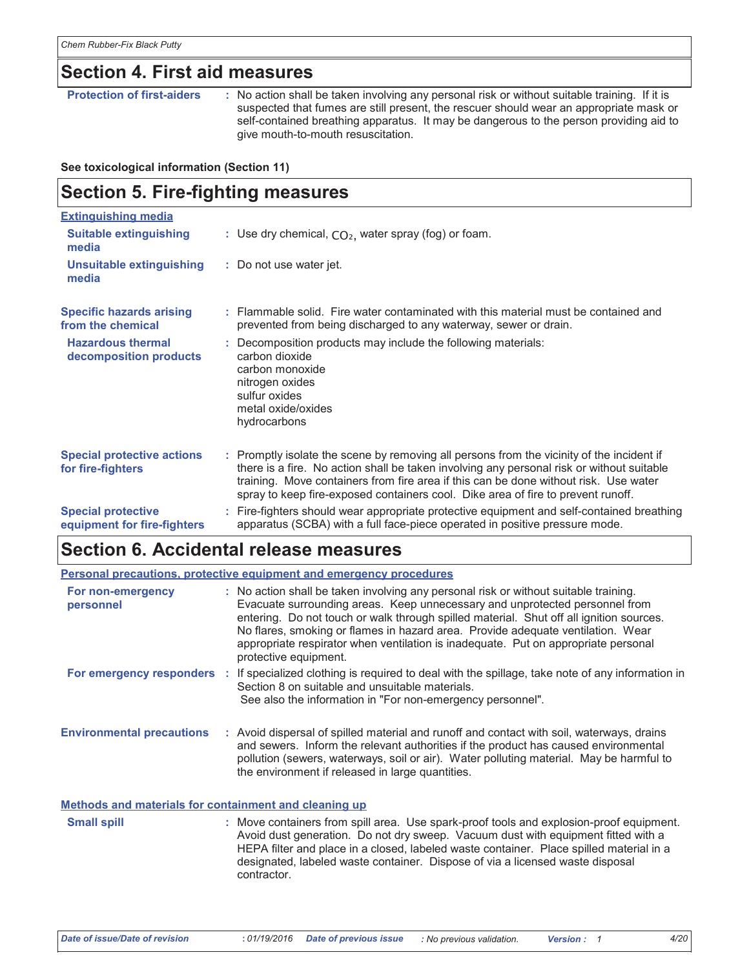### **Section 4. First aid measures**

**Protection of first-aiders** : No action shall be taken involving any personal risk or without suitable training. If it is suspected that fumes are still present, the rescuer should wear an appropriate mask or self-contained breathing apparatus. It may be dangerous to the person providing aid to give mouth-to-mouth resuscitation.

#### See toxicological information (Section 11)

| <b>Section 5. Fire-fighting measures</b>                 |                                                                                                                                                                                                                                                                                                                                                                    |  |
|----------------------------------------------------------|--------------------------------------------------------------------------------------------------------------------------------------------------------------------------------------------------------------------------------------------------------------------------------------------------------------------------------------------------------------------|--|
| <b>Extinguishing media</b>                               |                                                                                                                                                                                                                                                                                                                                                                    |  |
| <b>Suitable extinguishing</b><br>media                   | : Use dry chemical, $CO2$ , water spray (fog) or foam.                                                                                                                                                                                                                                                                                                             |  |
| <b>Unsuitable extinguishing</b><br>media                 | : Do not use water jet.                                                                                                                                                                                                                                                                                                                                            |  |
| <b>Specific hazards arising</b><br>from the chemical     | : Flammable solid. Fire water contaminated with this material must be contained and<br>prevented from being discharged to any waterway, sewer or drain.                                                                                                                                                                                                            |  |
| <b>Hazardous thermal</b><br>decomposition products       | : Decomposition products may include the following materials:<br>carbon dioxide<br>carbon monoxide<br>nitrogen oxides<br>sulfur oxides<br>metal oxide/oxides<br>hydrocarbons                                                                                                                                                                                       |  |
| <b>Special protective actions</b><br>for fire-fighters   | : Promptly isolate the scene by removing all persons from the vicinity of the incident if<br>there is a fire. No action shall be taken involving any personal risk or without suitable<br>training. Move containers from fire area if this can be done without risk. Use water<br>spray to keep fire-exposed containers cool. Dike area of fire to prevent runoff. |  |
| <b>Special protective</b><br>equipment for fire-fighters | : Fire-fighters should wear appropriate protective equipment and self-contained breathing<br>apparatus (SCBA) with a full face-piece operated in positive pressure mode.                                                                                                                                                                                           |  |

### Section 6. Accidental release measures

contractor.

|                                                       | <b>Personal precautions, protective equipment and emergency procedures</b>                                                                                                                                                                                                                                                                                                                                                                                       |
|-------------------------------------------------------|------------------------------------------------------------------------------------------------------------------------------------------------------------------------------------------------------------------------------------------------------------------------------------------------------------------------------------------------------------------------------------------------------------------------------------------------------------------|
| For non-emergency<br>personnel                        | : No action shall be taken involving any personal risk or without suitable training.<br>Evacuate surrounding areas. Keep unnecessary and unprotected personnel from<br>entering. Do not touch or walk through spilled material. Shut off all ignition sources.<br>No flares, smoking or flames in hazard area. Provide adequate ventilation. Wear<br>appropriate respirator when ventilation is inadequate. Put on appropriate personal<br>protective equipment. |
|                                                       | For emergency responders : If specialized clothing is required to deal with the spillage, take note of any information in<br>Section 8 on suitable and unsuitable materials.<br>See also the information in "For non-emergency personnel".                                                                                                                                                                                                                       |
| <b>Environmental precautions</b>                      | : Avoid dispersal of spilled material and runoff and contact with soil, waterways, drains<br>and sewers. Inform the relevant authorities if the product has caused environmental<br>pollution (sewers, waterways, soil or air). Water polluting material. May be harmful to<br>the environment if released in large quantities.                                                                                                                                  |
| Methods and materials for containment and cleaning up |                                                                                                                                                                                                                                                                                                                                                                                                                                                                  |
| <b>Small spill</b>                                    | : Move containers from spill area. Use spark-proof tools and explosion-proof equipment.<br>Avoid dust generation. Do not dry sweep. Vacuum dust with equipment fitted with a<br>HEPA filter and place in a closed, labeled waste container. Place spilled material in a<br>designated, labeled waste container. Dispose of via a licensed waste disposal                                                                                                         |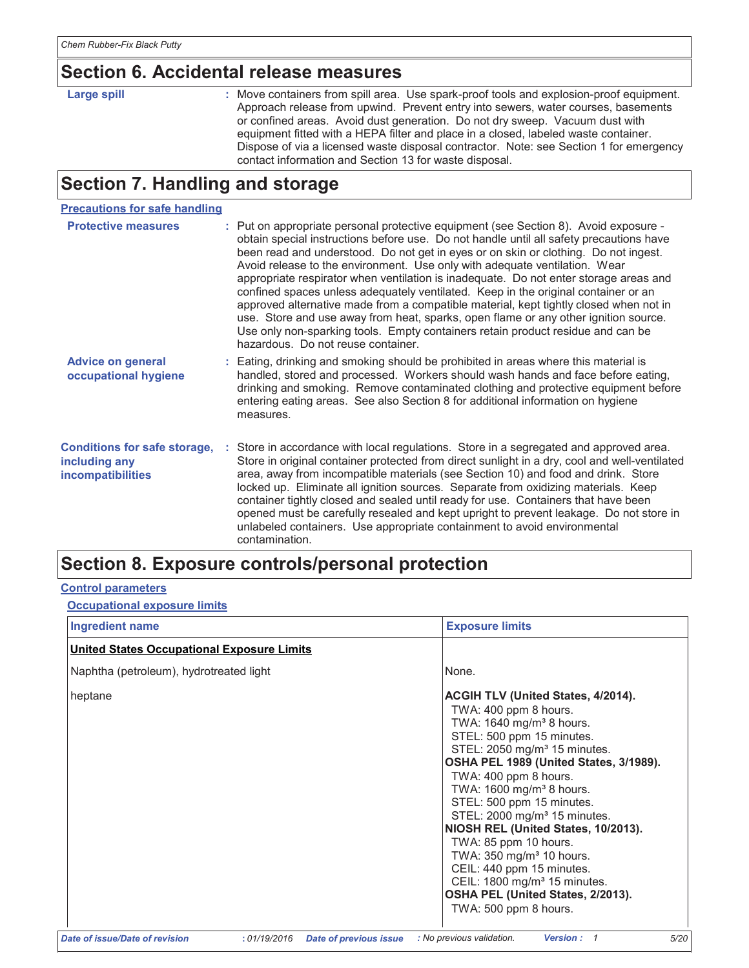### **Section 6. Accidental release measures**

| ı<br>r c<br>-<br>-<br>٠ |  |
|-------------------------|--|
|-------------------------|--|

: Move containers from spill area. Use spark-proof tools and explosion-proof equipment. Approach release from upwind. Prevent entry into sewers, water courses, basements or confined areas. Avoid dust generation. Do not dry sweep. Vacuum dust with equipment fitted with a HEPA filter and place in a closed, labeled waste container. Dispose of via a licensed waste disposal contractor. Note: see Section 1 for emergency contact information and Section 13 for waste disposal.

# Section 7. Handling and storage

#### **Precautions for safe handling**

| <b>Protective measures</b>                                                       | : Put on appropriate personal protective equipment (see Section 8). Avoid exposure -<br>obtain special instructions before use. Do not handle until all safety precautions have<br>been read and understood. Do not get in eyes or on skin or clothing. Do not ingest.<br>Avoid release to the environment. Use only with adequate ventilation. Wear<br>appropriate respirator when ventilation is inadequate. Do not enter storage areas and<br>confined spaces unless adequately ventilated. Keep in the original container or an<br>approved alternative made from a compatible material, kept tightly closed when not in<br>use. Store and use away from heat, sparks, open flame or any other ignition source.<br>Use only non-sparking tools. Empty containers retain product residue and can be<br>hazardous. Do not reuse container. |
|----------------------------------------------------------------------------------|----------------------------------------------------------------------------------------------------------------------------------------------------------------------------------------------------------------------------------------------------------------------------------------------------------------------------------------------------------------------------------------------------------------------------------------------------------------------------------------------------------------------------------------------------------------------------------------------------------------------------------------------------------------------------------------------------------------------------------------------------------------------------------------------------------------------------------------------|
| <b>Advice on general</b><br>occupational hygiene                                 | : Eating, drinking and smoking should be prohibited in areas where this material is<br>handled, stored and processed. Workers should wash hands and face before eating,<br>drinking and smoking. Remove contaminated clothing and protective equipment before<br>entering eating areas. See also Section 8 for additional information on hygiene<br>measures.                                                                                                                                                                                                                                                                                                                                                                                                                                                                                |
| <b>Conditions for safe storage,</b><br>including any<br><i>incompatibilities</i> | : Store in accordance with local regulations. Store in a segregated and approved area.<br>Store in original container protected from direct sunlight in a dry, cool and well-ventilated<br>area, away from incompatible materials (see Section 10) and food and drink. Store<br>locked up. Eliminate all ignition sources. Separate from oxidizing materials. Keep<br>container tightly closed and sealed until ready for use. Containers that have been<br>opened must be carefully resealed and kept upright to prevent leakage. Do not store in<br>unlabeled containers. Use appropriate containment to avoid environmental<br>contamination                                                                                                                                                                                              |

### **Section 8. Exposure controls/personal protection**

### **Control parameters**

**Occupational exposure limits** 

| <b>Ingredient name</b>                                                 | <b>Exposure limits</b>                                                                                                                                                                                                                                                                                                                                                                                                                                                                                                                                                                                                 |
|------------------------------------------------------------------------|------------------------------------------------------------------------------------------------------------------------------------------------------------------------------------------------------------------------------------------------------------------------------------------------------------------------------------------------------------------------------------------------------------------------------------------------------------------------------------------------------------------------------------------------------------------------------------------------------------------------|
| <b>United States Occupational Exposure Limits</b>                      |                                                                                                                                                                                                                                                                                                                                                                                                                                                                                                                                                                                                                        |
| Naphtha (petroleum), hydrotreated light                                | None.                                                                                                                                                                                                                                                                                                                                                                                                                                                                                                                                                                                                                  |
| heptane                                                                | <b>ACGIH TLV (United States, 4/2014).</b><br>TWA: 400 ppm 8 hours.<br>TWA: 1640 mg/m <sup>3</sup> 8 hours.<br>STEL: 500 ppm 15 minutes.<br>STEL: 2050 mg/m <sup>3</sup> 15 minutes.<br>OSHA PEL 1989 (United States, 3/1989).<br>TWA: 400 ppm 8 hours.<br>TWA: 1600 mg/m <sup>3</sup> 8 hours.<br>STEL: 500 ppm 15 minutes.<br>STEL: 2000 mg/m <sup>3</sup> 15 minutes.<br>NIOSH REL (United States, 10/2013).<br>TWA: 85 ppm 10 hours.<br>TWA: 350 mg/m <sup>3</sup> 10 hours.<br>CEIL: 440 ppm 15 minutes.<br>CEIL: 1800 mg/m <sup>3</sup> 15 minutes.<br>OSHA PEL (United States, 2/2013).<br>TWA: 500 ppm 8 hours. |
| Date of issue/Date of revision<br>01/19/2016<br>Date of previous issue | : No previous validation.<br><b>Version:</b><br>5/20                                                                                                                                                                                                                                                                                                                                                                                                                                                                                                                                                                   |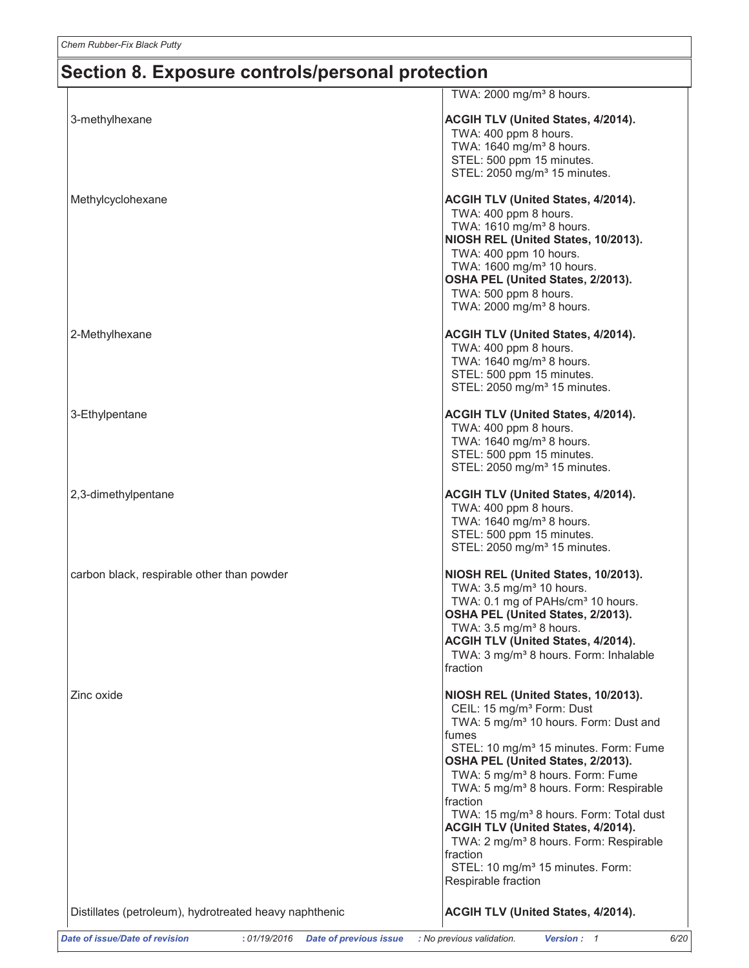|                                                                       | TWA: $2000 \text{ mg/m}^3$ 8 hours.                                                                                                                                                                                                                                                                                                                                                                                                                                                                                                                                                          |
|-----------------------------------------------------------------------|----------------------------------------------------------------------------------------------------------------------------------------------------------------------------------------------------------------------------------------------------------------------------------------------------------------------------------------------------------------------------------------------------------------------------------------------------------------------------------------------------------------------------------------------------------------------------------------------|
| 3-methylhexane                                                        | ACGIH TLV (United States, 4/2014).<br>TWA: 400 ppm 8 hours.<br>TWA: 1640 mg/m <sup>3</sup> 8 hours.<br>STEL: 500 ppm 15 minutes.<br>STEL: 2050 mg/m <sup>3</sup> 15 minutes.                                                                                                                                                                                                                                                                                                                                                                                                                 |
| Methylcyclohexane                                                     | <b>ACGIH TLV (United States, 4/2014).</b><br>TWA: 400 ppm 8 hours.<br>TWA: 1610 mg/m <sup>3</sup> 8 hours.<br>NIOSH REL (United States, 10/2013).<br>TWA: 400 ppm 10 hours.<br>TWA: 1600 mg/m <sup>3</sup> 10 hours.<br>OSHA PEL (United States, 2/2013).<br>TWA: 500 ppm 8 hours.<br>TWA: 2000 mg/m <sup>3</sup> 8 hours.                                                                                                                                                                                                                                                                   |
| 2-Methylhexane                                                        | <b>ACGIH TLV (United States, 4/2014).</b><br>TWA: 400 ppm 8 hours.<br>TWA: 1640 mg/m <sup>3</sup> 8 hours.<br>STEL: 500 ppm 15 minutes.<br>STEL: 2050 mg/m <sup>3</sup> 15 minutes.                                                                                                                                                                                                                                                                                                                                                                                                          |
| 3-Ethylpentane                                                        | <b>ACGIH TLV (United States, 4/2014).</b><br>TWA: 400 ppm 8 hours.<br>TWA: 1640 mg/m <sup>3</sup> 8 hours.<br>STEL: 500 ppm 15 minutes.<br>STEL: 2050 mg/m <sup>3</sup> 15 minutes.                                                                                                                                                                                                                                                                                                                                                                                                          |
| 2,3-dimethylpentane                                                   | <b>ACGIH TLV (United States, 4/2014).</b><br>TWA: 400 ppm 8 hours.<br>TWA: 1640 mg/m <sup>3</sup> 8 hours.<br>STEL: 500 ppm 15 minutes.<br>STEL: 2050 mg/m <sup>3</sup> 15 minutes.                                                                                                                                                                                                                                                                                                                                                                                                          |
| carbon black, respirable other than powder                            | NIOSH REL (United States, 10/2013).<br>TWA: 3.5 mg/m <sup>3</sup> 10 hours.<br>TWA: 0.1 mg of PAHs/cm <sup>3</sup> 10 hours.<br>OSHA PEL (United States, 2/2013).<br>TWA: 3.5 mg/m <sup>3</sup> 8 hours.<br><b>ACGIH TLV (United States, 4/2014).</b><br>TWA: 3 mg/m <sup>3</sup> 8 hours. Form: Inhalable<br>fraction                                                                                                                                                                                                                                                                       |
| Zinc oxide                                                            | NIOSH REL (United States, 10/2013).<br>CEIL: 15 mg/m <sup>3</sup> Form: Dust<br>TWA: 5 mg/m <sup>3</sup> 10 hours. Form: Dust and<br>fumes<br>STEL: 10 mg/m <sup>3</sup> 15 minutes. Form: Fume<br>OSHA PEL (United States, 2/2013).<br>TWA: 5 mg/m <sup>3</sup> 8 hours. Form: Fume<br>TWA: 5 mg/m <sup>3</sup> 8 hours. Form: Respirable<br>fraction<br>TWA: 15 mg/m <sup>3</sup> 8 hours. Form: Total dust<br>ACGIH TLV (United States, 4/2014).<br>TWA: 2 mg/m <sup>3</sup> 8 hours. Form: Respirable<br>fraction<br>STEL: 10 mg/m <sup>3</sup> 15 minutes. Form:<br>Respirable fraction |
| Distillates (petroleum), hydrotreated heavy naphthenic                | ACGIH TLV (United States, 4/2014).                                                                                                                                                                                                                                                                                                                                                                                                                                                                                                                                                           |
| Date of issue/Date of revision<br>: 01/19/2016 Date of previous issue | : No previous validation.<br>Version: 1<br>6/                                                                                                                                                                                                                                                                                                                                                                                                                                                                                                                                                |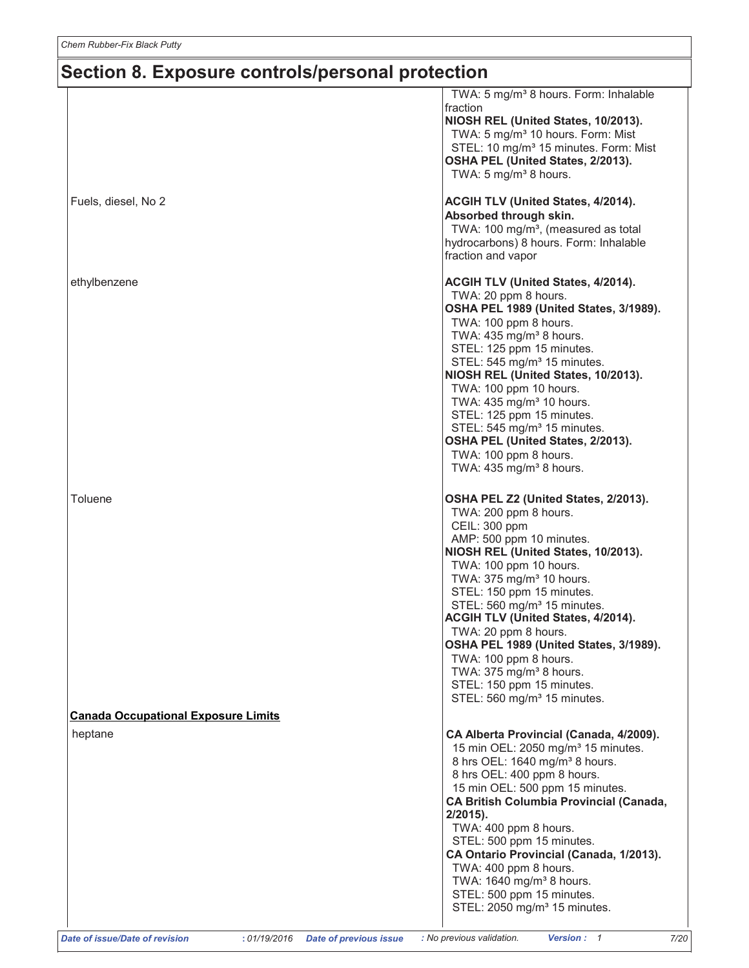|                                                                                 | TWA: 5 mg/m <sup>3</sup> 8 hours. Form: Inhalable      |
|---------------------------------------------------------------------------------|--------------------------------------------------------|
|                                                                                 | fraction                                               |
|                                                                                 | NIOSH REL (United States, 10/2013).                    |
|                                                                                 | TWA: 5 mg/m <sup>3</sup> 10 hours. Form: Mist          |
|                                                                                 | STEL: 10 mg/m <sup>3</sup> 15 minutes. Form: Mist      |
|                                                                                 | OSHA PEL (United States, 2/2013).                      |
|                                                                                 | TWA: $5 \text{ mg/m}^3$ 8 hours.                       |
| Fuels, diesel, No 2                                                             | <b>ACGIH TLV (United States, 4/2014).</b>              |
|                                                                                 | Absorbed through skin.                                 |
|                                                                                 | TWA: 100 mg/m <sup>3</sup> , (measured as total        |
|                                                                                 | hydrocarbons) 8 hours. Form: Inhalable                 |
|                                                                                 | fraction and vapor                                     |
| ethylbenzene                                                                    | <b>ACGIH TLV (United States, 4/2014).</b>              |
|                                                                                 | TWA: 20 ppm 8 hours.                                   |
|                                                                                 | OSHA PEL 1989 (United States, 3/1989).                 |
|                                                                                 | TWA: 100 ppm 8 hours.                                  |
|                                                                                 | TWA: 435 mg/m <sup>3</sup> 8 hours.                    |
|                                                                                 | STEL: 125 ppm 15 minutes.                              |
|                                                                                 | STEL: 545 mg/m <sup>3</sup> 15 minutes.                |
|                                                                                 | NIOSH REL (United States, 10/2013).                    |
|                                                                                 | TWA: 100 ppm 10 hours.                                 |
|                                                                                 | TWA: 435 mg/m <sup>3</sup> 10 hours.                   |
|                                                                                 | STEL: 125 ppm 15 minutes.                              |
|                                                                                 | STEL: 545 mg/m <sup>3</sup> 15 minutes.                |
|                                                                                 | OSHA PEL (United States, 2/2013).                      |
|                                                                                 | TWA: 100 ppm 8 hours.                                  |
|                                                                                 | TWA: $435$ mg/m <sup>3</sup> 8 hours.                  |
| Toluene                                                                         | OSHA PEL Z2 (United States, 2/2013).                   |
|                                                                                 | TWA: 200 ppm 8 hours.                                  |
|                                                                                 | CEIL: 300 ppm                                          |
|                                                                                 | AMP: 500 ppm 10 minutes.                               |
|                                                                                 | NIOSH REL (United States, 10/2013).                    |
|                                                                                 | TWA: 100 ppm 10 hours.                                 |
|                                                                                 | TWA: 375 mg/m <sup>3</sup> 10 hours.                   |
|                                                                                 | STEL: 150 ppm 15 minutes.                              |
|                                                                                 | STEL: 560 mg/m <sup>3</sup> 15 minutes.                |
|                                                                                 | ACGIH TLV (United States, 4/2014).                     |
|                                                                                 | TWA: 20 ppm 8 hours.                                   |
|                                                                                 | OSHA PEL 1989 (United States, 3/1989).                 |
|                                                                                 | TWA: 100 ppm 8 hours.                                  |
|                                                                                 | TWA: 375 mg/m <sup>3</sup> 8 hours.                    |
|                                                                                 | STEL: 150 ppm 15 minutes.                              |
|                                                                                 | STEL: 560 mg/m <sup>3</sup> 15 minutes.                |
| <b>Canada Occupational Exposure Limits</b>                                      |                                                        |
| heptane                                                                         | CA Alberta Provincial (Canada, 4/2009).                |
|                                                                                 | 15 min OEL: 2050 mg/m <sup>3</sup> 15 minutes.         |
|                                                                                 | 8 hrs OEL: 1640 mg/m <sup>3</sup> 8 hours.             |
|                                                                                 | 8 hrs OEL: 400 ppm 8 hours.                            |
|                                                                                 | 15 min OEL: 500 ppm 15 minutes.                        |
|                                                                                 | <b>CA British Columbia Provincial (Canada,</b>         |
|                                                                                 | $2/2015$ ).                                            |
|                                                                                 | TWA: 400 ppm 8 hours.                                  |
|                                                                                 | STEL: 500 ppm 15 minutes.                              |
|                                                                                 | CA Ontario Provincial (Canada, 1/2013).                |
|                                                                                 | TWA: 400 ppm 8 hours.                                  |
|                                                                                 | TWA: 1640 mg/m <sup>3</sup> 8 hours.                   |
|                                                                                 | STEL: 500 ppm 15 minutes.                              |
|                                                                                 | STEL: 2050 mg/m <sup>3</sup> 15 minutes.               |
| Date of issue/Date of revision<br><b>Date of previous issue</b><br>: 01/19/2016 | : No previous validation.<br><b>Version: 1</b><br>7/20 |
|                                                                                 |                                                        |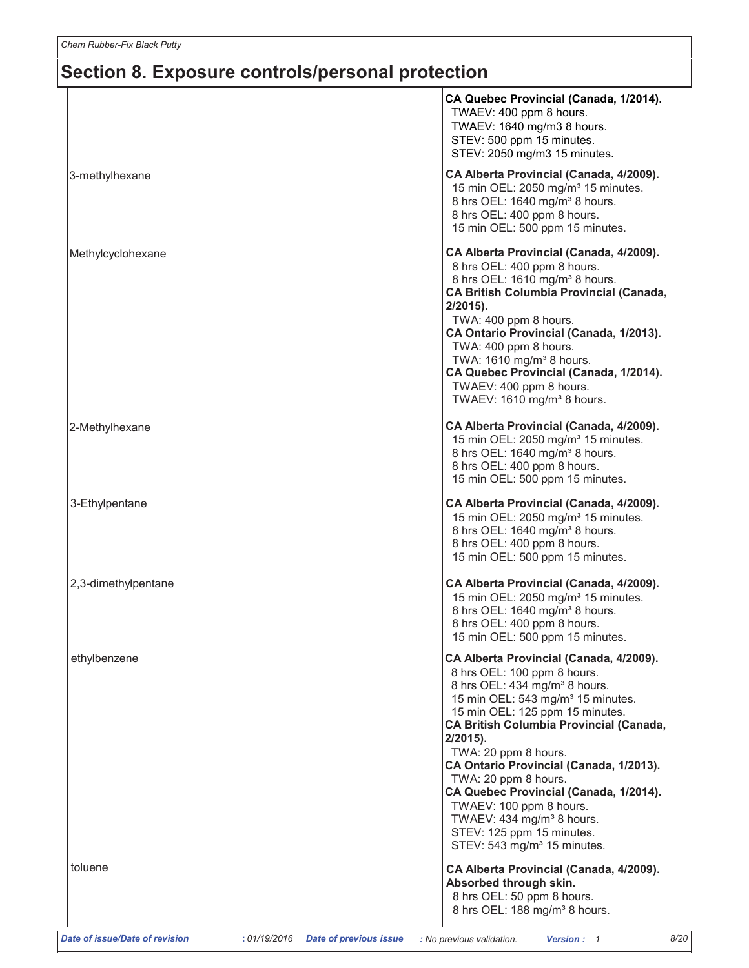|                     | CA Quebec Provincial (Canada, 1/2014).<br>TWAEV: 400 ppm 8 hours.<br>TWAEV: 1640 mg/m3 8 hours.<br>STEV: 500 ppm 15 minutes.<br>STEV: 2050 mg/m3 15 minutes.                                                                                                                                                                                                                                                                                                                                                                                              |
|---------------------|-----------------------------------------------------------------------------------------------------------------------------------------------------------------------------------------------------------------------------------------------------------------------------------------------------------------------------------------------------------------------------------------------------------------------------------------------------------------------------------------------------------------------------------------------------------|
| 3-methylhexane      | CA Alberta Provincial (Canada, 4/2009).<br>15 min OEL: 2050 mg/m <sup>3</sup> 15 minutes.<br>8 hrs OEL: 1640 mg/m <sup>3</sup> 8 hours.<br>8 hrs OEL: 400 ppm 8 hours.<br>15 min OEL: 500 ppm 15 minutes.                                                                                                                                                                                                                                                                                                                                                 |
| Methylcyclohexane   | CA Alberta Provincial (Canada, 4/2009).<br>8 hrs OEL: 400 ppm 8 hours.<br>8 hrs OEL: 1610 mg/m <sup>3</sup> 8 hours.<br><b>CA British Columbia Provincial (Canada,</b><br>$2/2015$ ).<br>TWA: 400 ppm 8 hours.<br>CA Ontario Provincial (Canada, 1/2013).<br>TWA: 400 ppm 8 hours.<br>TWA: 1610 mg/m <sup>3</sup> 8 hours.<br>CA Quebec Provincial (Canada, 1/2014).<br>TWAEV: 400 ppm 8 hours.<br>TWAEV: 1610 mg/m <sup>3</sup> 8 hours.                                                                                                                 |
| 2-Methylhexane      | CA Alberta Provincial (Canada, 4/2009).<br>15 min OEL: 2050 mg/m <sup>3</sup> 15 minutes.<br>8 hrs OEL: 1640 mg/m <sup>3</sup> 8 hours.<br>8 hrs OEL: 400 ppm 8 hours.<br>15 min OEL: 500 ppm 15 minutes.                                                                                                                                                                                                                                                                                                                                                 |
| 3-Ethylpentane      | CA Alberta Provincial (Canada, 4/2009).<br>15 min OEL: 2050 mg/m <sup>3</sup> 15 minutes.<br>8 hrs OEL: 1640 mg/m <sup>3</sup> 8 hours.<br>8 hrs OEL: 400 ppm 8 hours.<br>15 min OEL: 500 ppm 15 minutes.                                                                                                                                                                                                                                                                                                                                                 |
| 2,3-dimethylpentane | CA Alberta Provincial (Canada, 4/2009).<br>15 min OEL: 2050 mg/m <sup>3</sup> 15 minutes.<br>8 hrs OEL: 1640 mg/m <sup>3</sup> 8 hours.<br>8 hrs OEL: 400 ppm 8 hours.<br>15 min OEL: 500 ppm 15 minutes.                                                                                                                                                                                                                                                                                                                                                 |
| ethylbenzene        | CA Alberta Provincial (Canada, 4/2009).<br>8 hrs OEL: 100 ppm 8 hours.<br>8 hrs OEL: 434 mg/m <sup>3</sup> 8 hours.<br>15 min OEL: 543 mg/m <sup>3</sup> 15 minutes.<br>15 min OEL: 125 ppm 15 minutes.<br><b>CA British Columbia Provincial (Canada,</b><br>$2/2015$ ).<br>TWA: 20 ppm 8 hours.<br>CA Ontario Provincial (Canada, 1/2013).<br>TWA: 20 ppm 8 hours.<br>CA Quebec Provincial (Canada, 1/2014).<br>TWAEV: 100 ppm 8 hours.<br>TWAEV: 434 mg/m <sup>3</sup> 8 hours.<br>STEV: 125 ppm 15 minutes.<br>STEV: 543 mg/m <sup>3</sup> 15 minutes. |
| toluene             | CA Alberta Provincial (Canada, 4/2009).<br>Absorbed through skin.<br>8 hrs OEL: 50 ppm 8 hours.<br>8 hrs OEL: 188 mg/m <sup>3</sup> 8 hours.                                                                                                                                                                                                                                                                                                                                                                                                              |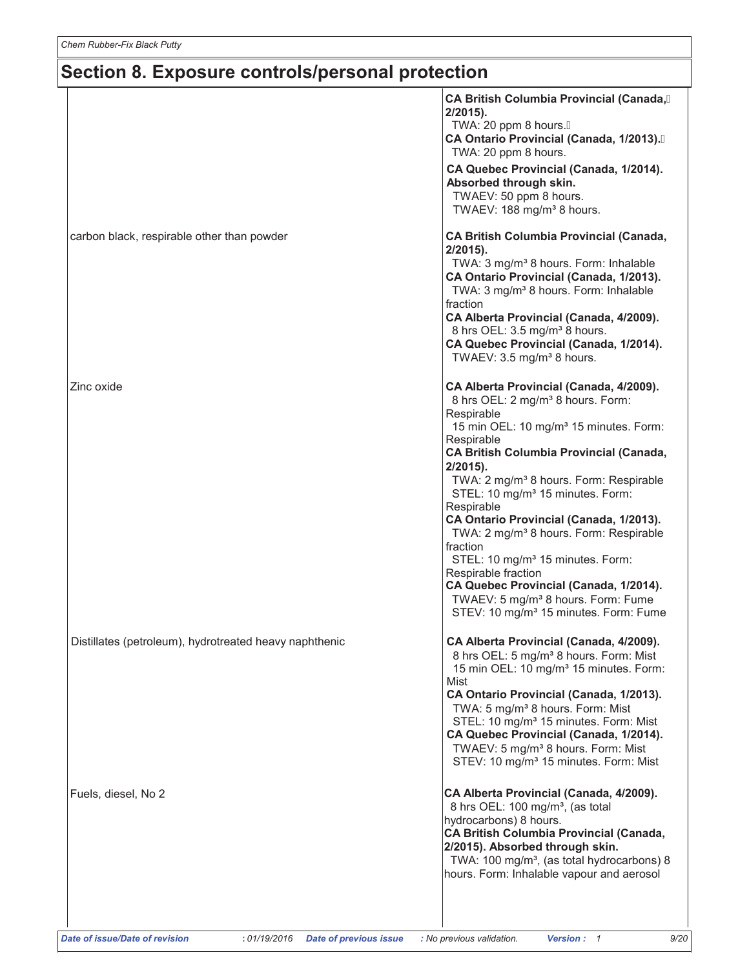|                                                        | CA British Columbia Provincial (Canada,<br>$2/2015$ ).<br>TWA: 20 ppm 8 hours.A<br>CA Ontario Provincial (Canada, 1/2013).<br>TWA: 20 ppm 8 hours.<br>CA Quebec Provincial (Canada, 1/2014).<br>Absorbed through skin.<br>TWAEV: 50 ppm 8 hours.<br>TWAEV: 188 mg/m <sup>3</sup> 8 hours.                                                                                                                                                                                                                                                                                                                                                                                                            |
|--------------------------------------------------------|------------------------------------------------------------------------------------------------------------------------------------------------------------------------------------------------------------------------------------------------------------------------------------------------------------------------------------------------------------------------------------------------------------------------------------------------------------------------------------------------------------------------------------------------------------------------------------------------------------------------------------------------------------------------------------------------------|
| carbon black, respirable other than powder             | CA British Columbia Provincial (Canada,<br>$2/2015$ ).<br>TWA: 3 mg/m <sup>3</sup> 8 hours. Form: Inhalable<br>CA Ontario Provincial (Canada, 1/2013).<br>TWA: 3 mg/m <sup>3</sup> 8 hours. Form: Inhalable<br>fraction<br>CA Alberta Provincial (Canada, 4/2009).<br>8 hrs OEL: 3.5 mg/m <sup>3</sup> 8 hours.<br>CA Quebec Provincial (Canada, 1/2014).<br>TWAEV: 3.5 mg/m <sup>3</sup> 8 hours.                                                                                                                                                                                                                                                                                                   |
| Zinc oxide                                             | CA Alberta Provincial (Canada, 4/2009).<br>8 hrs OEL: 2 mg/m <sup>3</sup> 8 hours. Form:<br>Respirable<br>15 min OEL: 10 mg/m <sup>3</sup> 15 minutes. Form:<br>Respirable<br><b>CA British Columbia Provincial (Canada,</b><br>$2/2015$ ).<br>TWA: 2 mg/m <sup>3</sup> 8 hours. Form: Respirable<br>STEL: 10 mg/m <sup>3</sup> 15 minutes. Form:<br>Respirable<br>CA Ontario Provincial (Canada, 1/2013).<br>TWA: 2 mg/m <sup>3</sup> 8 hours. Form: Respirable<br>fraction<br>STEL: 10 mg/m <sup>3</sup> 15 minutes. Form:<br>Respirable fraction<br>CA Quebec Provincial (Canada, 1/2014).<br>TWAEV: 5 mg/m <sup>3</sup> 8 hours. Form: Fume<br>STEV: 10 mg/m <sup>3</sup> 15 minutes. Form: Fume |
| Distillates (petroleum), hydrotreated heavy naphthenic | CA Alberta Provincial (Canada, 4/2009).<br>8 hrs OEL: 5 mg/m <sup>3</sup> 8 hours. Form: Mist<br>15 min OEL: 10 mg/m <sup>3</sup> 15 minutes. Form:<br>Mist<br>CA Ontario Provincial (Canada, 1/2013).<br>TWA: 5 mg/m <sup>3</sup> 8 hours. Form: Mist<br>STEL: 10 mg/m <sup>3</sup> 15 minutes. Form: Mist<br>CA Quebec Provincial (Canada, 1/2014).<br>TWAEV: 5 mg/m <sup>3</sup> 8 hours. Form: Mist<br>STEV: 10 mg/m <sup>3</sup> 15 minutes. Form: Mist                                                                                                                                                                                                                                         |
| Fuels, diesel, No 2                                    | CA Alberta Provincial (Canada, 4/2009).<br>8 hrs OEL: 100 mg/m <sup>3</sup> , (as total<br>hydrocarbons) 8 hours.<br>CA British Columbia Provincial (Canada,<br>2/2015). Absorbed through skin.<br>TWA: 100 mg/m <sup>3</sup> , (as total hydrocarbons) 8<br>hours. Form: Inhalable vapour and aerosol                                                                                                                                                                                                                                                                                                                                                                                               |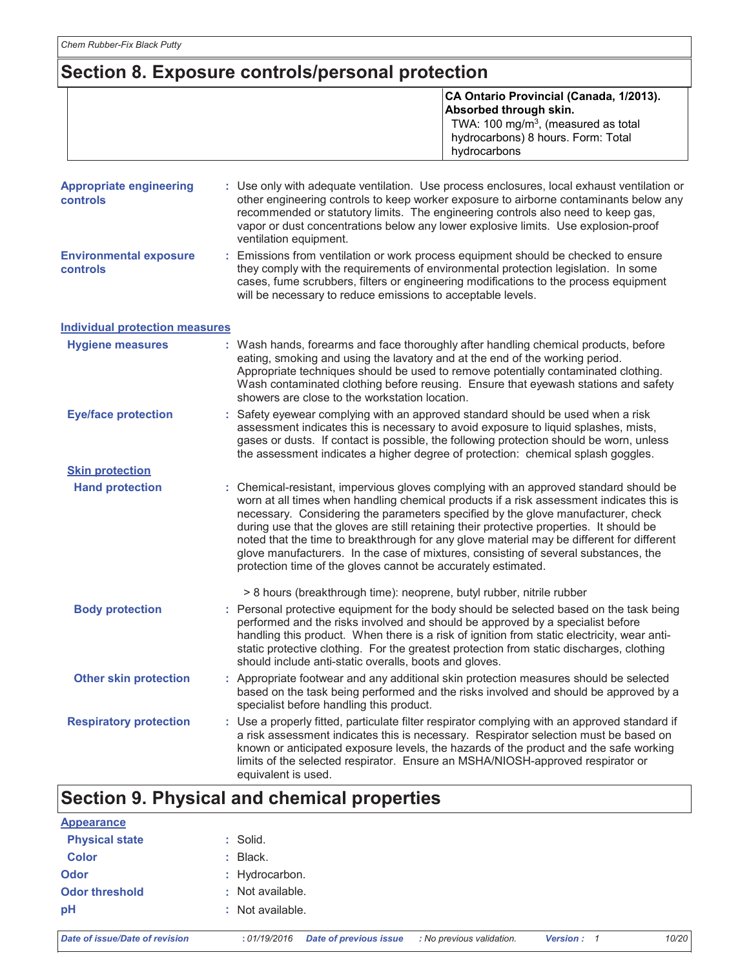| CA Ontario Provincial (Canada, 1/2013).<br>Absorbed through skin.<br>TWA: 100 mg/m <sup>3</sup> , (measured as total |
|----------------------------------------------------------------------------------------------------------------------|
| hydrocarbons) 8 hours. Form: Total                                                                                   |
| hydrocarbons                                                                                                         |
|                                                                                                                      |

| Appropriate engineering<br><b>controls</b>       | : Use only with adequate ventilation. Use process enclosures, local exhaust ventilation or<br>other engineering controls to keep worker exposure to airborne contaminants below any<br>recommended or statutory limits. The engineering controls also need to keep gas,<br>vapor or dust concentrations below any lower explosive limits. Use explosion-proof<br>ventilation equipment.                                                                                                                                                                                                                                |
|--------------------------------------------------|------------------------------------------------------------------------------------------------------------------------------------------------------------------------------------------------------------------------------------------------------------------------------------------------------------------------------------------------------------------------------------------------------------------------------------------------------------------------------------------------------------------------------------------------------------------------------------------------------------------------|
| <b>Environmental exposure</b><br><b>controls</b> | : Emissions from ventilation or work process equipment should be checked to ensure<br>they comply with the requirements of environmental protection legislation. In some<br>cases, fume scrubbers, filters or engineering modifications to the process equipment<br>will be necessary to reduce emissions to acceptable levels.                                                                                                                                                                                                                                                                                        |
| <b>Individual protection measures</b>            |                                                                                                                                                                                                                                                                                                                                                                                                                                                                                                                                                                                                                        |
| <b>Hygiene measures</b>                          | : Wash hands, forearms and face thoroughly after handling chemical products, before<br>eating, smoking and using the lavatory and at the end of the working period.<br>Appropriate techniques should be used to remove potentially contaminated clothing.<br>Wash contaminated clothing before reusing. Ensure that eyewash stations and safety<br>showers are close to the workstation location.                                                                                                                                                                                                                      |
| <b>Eye/face protection</b>                       | : Safety eyewear complying with an approved standard should be used when a risk<br>assessment indicates this is necessary to avoid exposure to liquid splashes, mists,<br>gases or dusts. If contact is possible, the following protection should be worn, unless<br>the assessment indicates a higher degree of protection: chemical splash goggles.                                                                                                                                                                                                                                                                  |
| <b>Skin protection</b>                           |                                                                                                                                                                                                                                                                                                                                                                                                                                                                                                                                                                                                                        |
| <b>Hand protection</b>                           | : Chemical-resistant, impervious gloves complying with an approved standard should be<br>worn at all times when handling chemical products if a risk assessment indicates this is<br>necessary. Considering the parameters specified by the glove manufacturer, check<br>during use that the gloves are still retaining their protective properties. It should be<br>noted that the time to breakthrough for any glove material may be different for different<br>glove manufacturers. In the case of mixtures, consisting of several substances, the<br>protection time of the gloves cannot be accurately estimated. |
|                                                  | > 8 hours (breakthrough time): neoprene, butyl rubber, nitrile rubber                                                                                                                                                                                                                                                                                                                                                                                                                                                                                                                                                  |
| <b>Body protection</b>                           | : Personal protective equipment for the body should be selected based on the task being<br>performed and the risks involved and should be approved by a specialist before<br>handling this product. When there is a risk of ignition from static electricity, wear anti-<br>static protective clothing. For the greatest protection from static discharges, clothing<br>should include anti-static overalls, boots and gloves.                                                                                                                                                                                         |
| <b>Other skin protection</b>                     | : Appropriate footwear and any additional skin protection measures should be selected<br>based on the task being performed and the risks involved and should be approved by a<br>specialist before handling this product.                                                                                                                                                                                                                                                                                                                                                                                              |
| <b>Respiratory protection</b>                    | : Use a properly fitted, particulate filter respirator complying with an approved standard if<br>a risk assessment indicates this is necessary. Respirator selection must be based on<br>known or anticipated exposure levels, the hazards of the product and the safe working<br>limits of the selected respirator. Ensure an MSHA/NIOSH-approved respirator or<br>equivalent is used.                                                                                                                                                                                                                                |

# Section 9. Physical and chemical properties

| <b>Appearance</b>     |                  |  |
|-----------------------|------------------|--|
| <b>Physical state</b> | : Solid.         |  |
| <b>Color</b>          | $:$ Black.       |  |
| <b>Odor</b>           | : Hydrocarbon.   |  |
| <b>Odor threshold</b> | : Not available. |  |
| pH                    | : Not available. |  |
|                       |                  |  |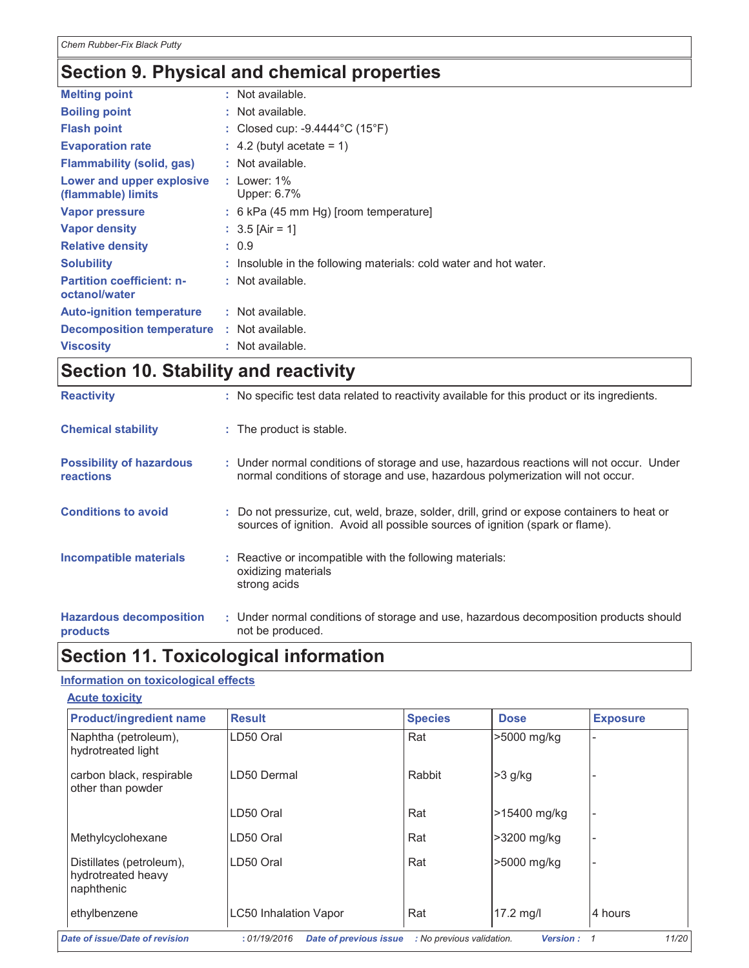# Section 9. Physical and chemical properties

| <b>Melting point</b>                              | : Not available.                                                  |
|---------------------------------------------------|-------------------------------------------------------------------|
| <b>Boiling point</b>                              | : Not available.                                                  |
| <b>Flash point</b>                                | : Closed cup: $-9.4444^{\circ}$ C (15 $^{\circ}$ F)               |
| <b>Evaporation rate</b>                           | $\therefore$ 4.2 (butyl acetate = 1)                              |
| <b>Flammability (solid, gas)</b>                  | : Not available.                                                  |
| Lower and upper explosive<br>(flammable) limits   | : $1$ ower: $1\%$<br>Upper: 6.7%                                  |
| Vapor pressure                                    | $: 6 kPa$ (45 mm Hg) [room temperature]                           |
| <b>Vapor density</b>                              | : $3.5$ [Air = 1]                                                 |
| <b>Relative density</b>                           | : 0.9                                                             |
| <b>Solubility</b>                                 | : Insoluble in the following materials: cold water and hot water. |
| <b>Partition coefficient: n-</b><br>octanol/water | : Not available.                                                  |
| <b>Auto-ignition temperature</b>                  | : Not available.                                                  |
| <b>Decomposition temperature</b>                  | : Not available.                                                  |
| <b>Viscosity</b>                                  | : Not available.                                                  |
|                                                   |                                                                   |

# **Section 10. Stability and reactivity**

| <b>Reactivity</b>                                   | : No specific test data related to reactivity available for this product or its ingredients.                                                                                 |
|-----------------------------------------------------|------------------------------------------------------------------------------------------------------------------------------------------------------------------------------|
| <b>Chemical stability</b>                           | : The product is stable.                                                                                                                                                     |
| <b>Possibility of hazardous</b><br><b>reactions</b> | : Under normal conditions of storage and use, hazardous reactions will not occur. Under<br>normal conditions of storage and use, hazardous polymerization will not occur.    |
| <b>Conditions to avoid</b>                          | : Do not pressurize, cut, weld, braze, solder, drill, grind or expose containers to heat or<br>sources of ignition. Avoid all possible sources of ignition (spark or flame). |
| Incompatible materials                              | : Reactive or incompatible with the following materials:<br>oxidizing materials<br>strong acids                                                                              |
| <b>Hazardous decomposition</b><br>products          | : Under normal conditions of storage and use, hazardous decomposition products should<br>not be produced.                                                                    |

### **Section 11. Toxicological information**

### **Information on toxicological effects**

### **Acute toxicity**

| <b>Product/ingredient name</b>                               | <b>Result</b>                                | <b>Species</b>            | <b>Dose</b>     | <b>Exposure</b> |
|--------------------------------------------------------------|----------------------------------------------|---------------------------|-----------------|-----------------|
| Naphtha (petroleum),<br>hydrotreated light                   | LD50 Oral                                    | Rat                       | >5000 mg/kg     |                 |
| carbon black, respirable<br>other than powder                | I D50 Dermal                                 | Rabbit                    | $>3$ g/kg       |                 |
|                                                              | LD50 Oral                                    | Rat                       | >15400 mg/kg    |                 |
| Methylcyclohexane                                            | LD50 Oral                                    | Rat                       | >3200 mg/kg     |                 |
| Distillates (petroleum),<br>hydrotreated heavy<br>naphthenic | LD50 Oral                                    | Rat                       | >5000 mg/kg     |                 |
| ethylbenzene                                                 | <b>LC50 Inhalation Vapor</b>                 | Rat                       | $17.2$ mg/l     | 4 hours         |
| Date of issue/Date of revision                               | :01/19/2016<br><b>Date of previous issue</b> | : No previous validation. | <b>Version:</b> | 11/20           |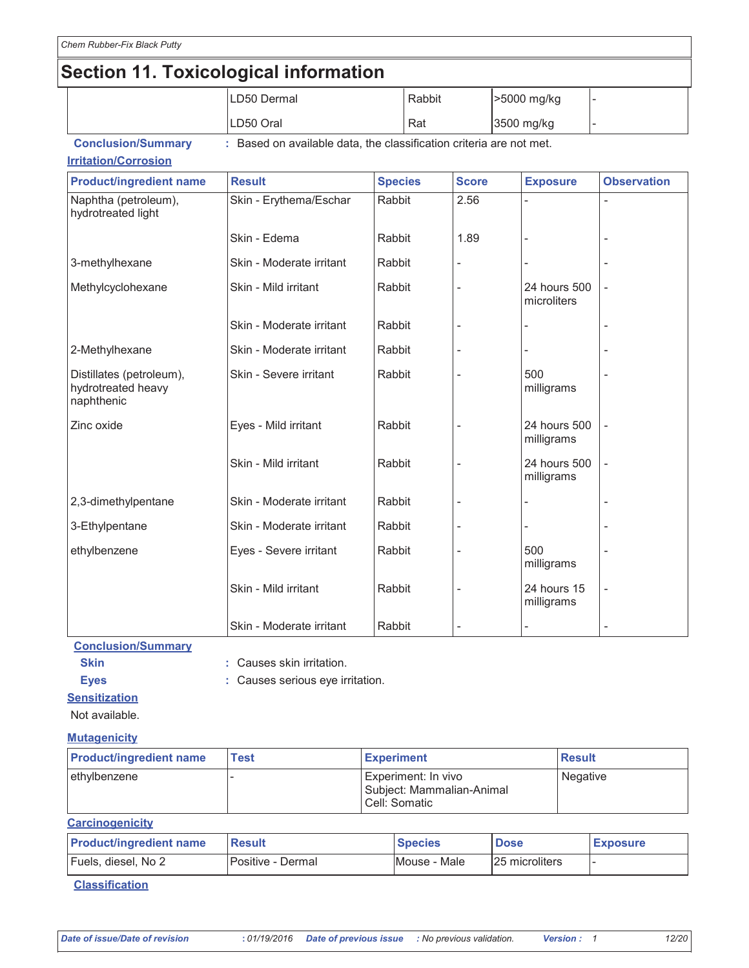# Section 11. Toxicological information

|                                                              | LD50 Dermal                                                         |                | Rabbit |              | >5000 mg/kg                 |                          |
|--------------------------------------------------------------|---------------------------------------------------------------------|----------------|--------|--------------|-----------------------------|--------------------------|
|                                                              | LD50 Oral                                                           | Rat            |        | 3500 mg/kg   |                             |                          |
| <b>Conclusion/Summary</b>                                    | : Based on available data, the classification criteria are not met. |                |        |              |                             |                          |
| <b>Irritation/Corrosion</b>                                  |                                                                     |                |        |              |                             |                          |
| <b>Product/ingredient name</b>                               | <b>Result</b>                                                       | <b>Species</b> |        | <b>Score</b> | <b>Exposure</b>             | <b>Observation</b>       |
| Naphtha (petroleum),<br>hydrotreated light                   | Skin - Erythema/Eschar                                              | Rabbit         |        | 2.56         |                             |                          |
|                                                              | Skin - Edema                                                        | Rabbit         |        | 1.89         |                             |                          |
| 3-methylhexane                                               | Skin - Moderate irritant                                            | Rabbit         |        |              |                             |                          |
| Methylcyclohexane                                            | Skin - Mild irritant                                                | Rabbit         |        |              | 24 hours 500<br>microliters |                          |
|                                                              | Skin - Moderate irritant                                            | Rabbit         |        |              |                             |                          |
| 2-Methylhexane                                               | Skin - Moderate irritant                                            | Rabbit         |        |              |                             |                          |
| Distillates (petroleum),<br>hydrotreated heavy<br>naphthenic | Skin - Severe irritant                                              | Rabbit         |        |              | 500<br>milligrams           |                          |
| Zinc oxide                                                   | Eyes - Mild irritant                                                | Rabbit         |        |              | 24 hours 500<br>milligrams  |                          |
|                                                              | Skin - Mild irritant                                                | Rabbit         |        |              | 24 hours 500<br>milligrams  |                          |
| 2,3-dimethylpentane                                          | Skin - Moderate irritant                                            | Rabbit         |        |              |                             |                          |
| 3-Ethylpentane                                               | Skin - Moderate irritant                                            | Rabbit         |        |              |                             |                          |
| ethylbenzene                                                 | Eyes - Severe irritant                                              | Rabbit         |        |              | 500<br>milligrams           |                          |
|                                                              | Skin - Mild irritant                                                | Rabbit         |        |              | 24 hours 15<br>milligrams   | $\overline{\phantom{a}}$ |
| .                                                            | Skin - Moderate irritant                                            | Rabbit         |        |              |                             |                          |

**Conclusion/Summary** 

: Causes skin irritation.

: Causes serious eye irritation.

### **Sensitization**

**Skin** 

**Eyes** 

Not available.

### **Mutagenicity**

| <b>Product/ingredient name</b> | Test | <b>Experiment</b>                                                 | Result          |
|--------------------------------|------|-------------------------------------------------------------------|-----------------|
| ethylbenzene                   |      | Experiment: In vivo<br>Subject: Mammalian-Animal<br>Cell: Somatic | <b>Negative</b> |

### **Carcinogenicity**

| <b>Product/ingredient name</b> | <b>Result</b>      | <b>Species</b> | <b>Dose</b>     | <b>Exposure</b> |
|--------------------------------|--------------------|----------------|-----------------|-----------------|
| Fuels, diesel, No 2            | lPositive - Dermal | Mouse - Male   | 125 microliters |                 |

#### **Classification**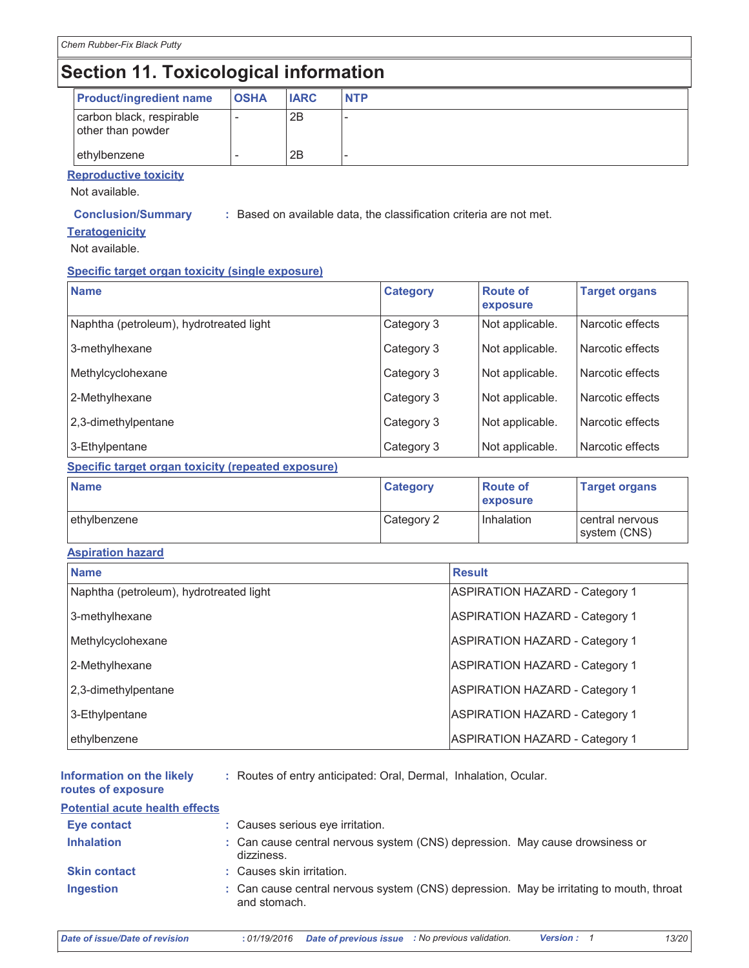# Section 11. Toxicological information

| <b>Product/ingredient name</b>                | <b>OSHA</b> | <b>IARC</b> | <b>NTP</b> |
|-----------------------------------------------|-------------|-------------|------------|
| carbon black, respirable<br>other than powder | ۰           | 2B          |            |
| ethylbenzene                                  |             | 2B          |            |

### **Reproductive toxicity**

Not available.

#### **Conclusion/Summary**

: Based on available data, the classification criteria are not met.

#### **Teratogenicity**

Not available.

#### Specific target organ toxicity (single exposure)

| <b>Name</b>                                               | <b>Category</b> | <b>Route of</b><br>exposure | <b>Target organs</b>            |
|-----------------------------------------------------------|-----------------|-----------------------------|---------------------------------|
| Naphtha (petroleum), hydrotreated light                   | Category 3      | Not applicable.             | Narcotic effects                |
| 3-methylhexane                                            | Category 3      | Not applicable.             | Narcotic effects                |
| Methylcyclohexane                                         | Category 3      | Not applicable.             | Narcotic effects                |
| 2-Methylhexane                                            | Category 3      | Not applicable.             | Narcotic effects                |
| 2,3-dimethylpentane                                       | Category 3      | Not applicable.             | Narcotic effects                |
| 3-Ethylpentane                                            | Category 3      | Not applicable.             | Narcotic effects                |
| <b>Specific target organ toxicity (repeated exposure)</b> |                 |                             |                                 |
| <b>Name</b>                                               | <b>Category</b> | <b>Route of</b><br>exposure | <b>Target organs</b>            |
| ethylbenzene                                              | Category 2      | Inhalation                  | central nervous<br>system (CNS) |

#### **Aspiration hazard**

| <b>Name</b>                             | <b>Result</b>                         |
|-----------------------------------------|---------------------------------------|
| Naphtha (petroleum), hydrotreated light | <b>ASPIRATION HAZARD - Category 1</b> |
| 3-methylhexane                          | <b>ASPIRATION HAZARD - Category 1</b> |
| Methylcyclohexane                       | <b>ASPIRATION HAZARD - Category 1</b> |
| 2-Methylhexane                          | <b>ASPIRATION HAZARD - Category 1</b> |
| 2,3-dimethylpentane                     | <b>ASPIRATION HAZARD - Category 1</b> |
| 3-Ethylpentane                          | <b>ASPIRATION HAZARD - Category 1</b> |
| ethylbenzene                            | <b>ASPIRATION HAZARD - Category 1</b> |

| Information on the likely<br>routes of exposure | : Routes of entry anticipated: Oral, Dermal, Inhalation, Ocular.                                        |
|-------------------------------------------------|---------------------------------------------------------------------------------------------------------|
| <b>Potential acute health effects</b>           |                                                                                                         |
| Eye contact                                     | : Causes serious eye irritation.                                                                        |
| <b>Inhalation</b>                               | : Can cause central nervous system (CNS) depression. May cause drowsiness or<br>dizziness.              |
| <b>Skin contact</b>                             | : Causes skin irritation.                                                                               |
| <b>Ingestion</b>                                | : Can cause central nervous system (CNS) depression. May be irritating to mouth, throat<br>and stomach. |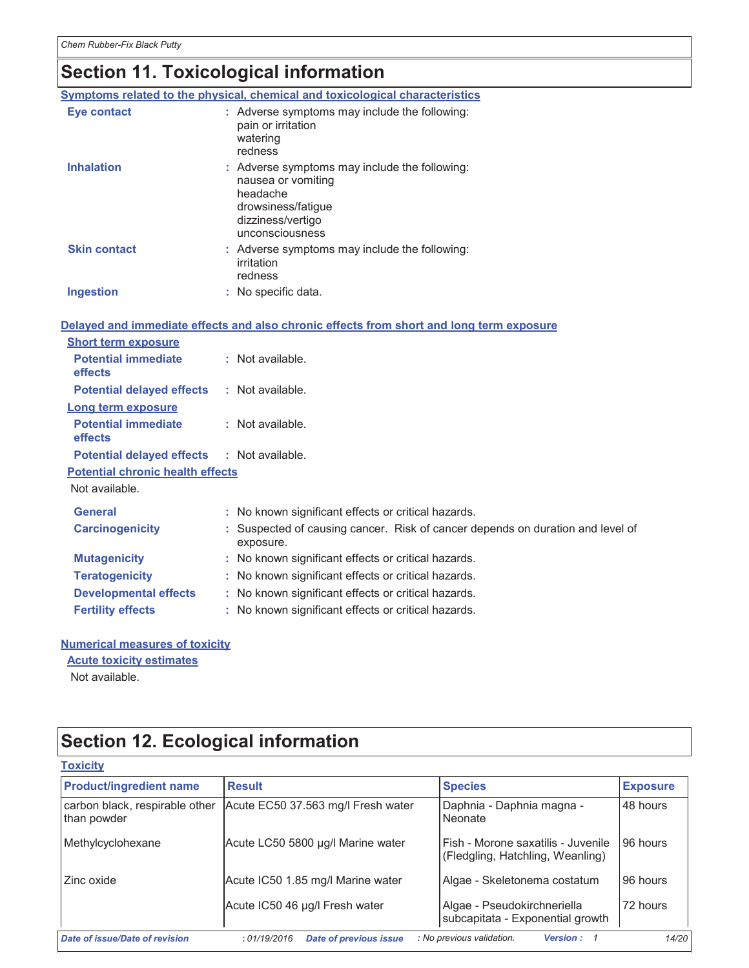# Section 11. Toxicological information

|                                         |    | Symptoms related to the physical, chemical and toxicological characteristics                                                                  |
|-----------------------------------------|----|-----------------------------------------------------------------------------------------------------------------------------------------------|
| <b>Eye contact</b>                      |    | : Adverse symptoms may include the following:<br>pain or irritation<br>watering<br>redness                                                    |
| <b>Inhalation</b>                       |    | : Adverse symptoms may include the following:<br>nausea or vomiting<br>headache<br>drowsiness/fatigue<br>dizziness/vertigo<br>unconsciousness |
| <b>Skin contact</b>                     |    | : Adverse symptoms may include the following:<br>irritation<br>redness                                                                        |
| Ingestion                               |    | : No specific data.                                                                                                                           |
|                                         |    |                                                                                                                                               |
|                                         |    | Delayed and immediate effects and also chronic effects from short and long term exposure                                                      |
| <b>Short term exposure</b>              |    |                                                                                                                                               |
| <b>Potential immediate</b><br>effects   |    | : Not available.                                                                                                                              |
| <b>Potential delayed effects</b>        |    | : Not available.                                                                                                                              |
| Long term exposure                      |    |                                                                                                                                               |
| <b>Potential immediate</b><br>effects   |    | : Not available.                                                                                                                              |
| <b>Potential delayed effects</b>        |    | : Not available.                                                                                                                              |
| <b>Potential chronic health effects</b> |    |                                                                                                                                               |
| Not available.                          |    |                                                                                                                                               |
| <b>General</b>                          |    | : No known significant effects or critical hazards.                                                                                           |
| <b>Carcinogenicity</b>                  |    | : Suspected of causing cancer. Risk of cancer depends on duration and level of<br>exposure.                                                   |
| <b>Mutagenicity</b>                     |    | : No known significant effects or critical hazards.                                                                                           |
| <b>Teratogenicity</b>                   |    | : No known significant effects or critical hazards.                                                                                           |
| <b>Developmental effects</b>            | t. | No known significant effects or critical hazards.                                                                                             |
| <b>Fertility effects</b>                |    | : No known significant effects or critical hazards.                                                                                           |
| <b>Numerical measures of toxicity</b>   |    |                                                                                                                                               |

**Acute toxicity estimates** 

Not available.

# Section 12. Ecological information

| <b>Toxicity</b>                               |                                              |                                                                        |                 |
|-----------------------------------------------|----------------------------------------------|------------------------------------------------------------------------|-----------------|
| <b>Product/ingredient name</b>                | <b>Result</b>                                | <b>Species</b>                                                         | <b>Exposure</b> |
| carbon black, respirable other<br>than powder | Acute EC50 37.563 mg/l Fresh water           | Daphnia - Daphnia magna -<br>Neonate                                   | 48 hours        |
| Methylcyclohexane                             | Acute LC50 5800 µg/l Marine water            | Fish - Morone saxatilis - Juvenile<br>(Fledgling, Hatchling, Weanling) | 96 hours        |
| Zinc oxide                                    | Acute IC50 1.85 mg/l Marine water            | Algae - Skeletonema costatum                                           | 96 hours        |
|                                               | Acute IC50 46 µg/l Fresh water               | Algae - Pseudokirchneriella<br>subcapitata - Exponential growth        | 72 hours        |
| Date of issue/Date of revision                | <b>Date of previous issue</b><br>:01/19/2016 | : No previous validation.<br><b>Version: 1</b>                         | 14/20           |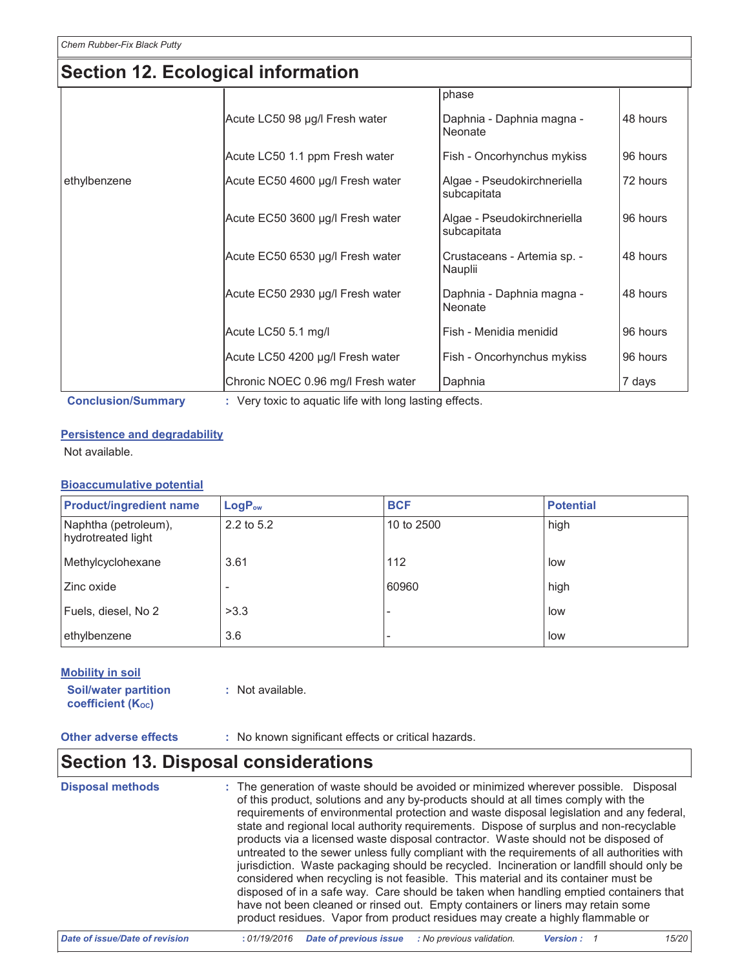### Section 12. Ecological information

| phase<br>Acute LC50 98 µg/l Fresh water<br>Daphnia - Daphnia magna -<br>48 hours<br>Neonate<br>Acute LC50 1.1 ppm Fresh water<br>Fish - Oncorhynchus mykiss<br>96 hours<br>Acute EC50 4600 µg/l Fresh water<br>Algae - Pseudokirchneriella<br>72 hours<br>subcapitata<br>Acute EC50 3600 µg/l Fresh water<br>Algae - Pseudokirchneriella<br>96 hours<br>subcapitata<br>Acute EC50 6530 µg/l Fresh water<br>48 hours<br>Crustaceans - Artemia sp. -<br>Nauplii<br>Acute EC50 2930 µg/l Fresh water<br>Daphnia - Daphnia magna -<br>48 hours<br>Neonate<br>Acute LC50 5.1 mg/l<br>Fish - Menidia menidid<br>96 hours<br>Acute LC50 4200 µg/l Fresh water<br>Fish - Oncorhynchus mykiss<br>96 hours |              |  |  |
|--------------------------------------------------------------------------------------------------------------------------------------------------------------------------------------------------------------------------------------------------------------------------------------------------------------------------------------------------------------------------------------------------------------------------------------------------------------------------------------------------------------------------------------------------------------------------------------------------------------------------------------------------------------------------------------------------|--------------|--|--|
|                                                                                                                                                                                                                                                                                                                                                                                                                                                                                                                                                                                                                                                                                                  |              |  |  |
|                                                                                                                                                                                                                                                                                                                                                                                                                                                                                                                                                                                                                                                                                                  |              |  |  |
|                                                                                                                                                                                                                                                                                                                                                                                                                                                                                                                                                                                                                                                                                                  |              |  |  |
|                                                                                                                                                                                                                                                                                                                                                                                                                                                                                                                                                                                                                                                                                                  | ethylbenzene |  |  |
|                                                                                                                                                                                                                                                                                                                                                                                                                                                                                                                                                                                                                                                                                                  |              |  |  |
|                                                                                                                                                                                                                                                                                                                                                                                                                                                                                                                                                                                                                                                                                                  |              |  |  |
|                                                                                                                                                                                                                                                                                                                                                                                                                                                                                                                                                                                                                                                                                                  |              |  |  |
|                                                                                                                                                                                                                                                                                                                                                                                                                                                                                                                                                                                                                                                                                                  |              |  |  |
|                                                                                                                                                                                                                                                                                                                                                                                                                                                                                                                                                                                                                                                                                                  |              |  |  |
| Chronic NOEC 0.96 mg/l Fresh water<br>Daphnia<br>7 days                                                                                                                                                                                                                                                                                                                                                                                                                                                                                                                                                                                                                                          |              |  |  |

**Conclusion/Summary** 

: Very toxic to aquatic life with long lasting effects.

#### **Persistence and degradability**

Not available.

### **Bioaccumulative potential**

| <b>Product/ingredient name</b>             | $LogP_{ow}$ | <b>BCF</b> | <b>Potential</b> |
|--------------------------------------------|-------------|------------|------------------|
| Naphtha (petroleum),<br>hydrotreated light | 2.2 to 5.2  | 10 to 2500 | high             |
| Methylcyclohexane                          | 3.61        | 112        | low              |
| Zinc oxide                                 |             | 60960      | high             |
| Fuels, diesel, No 2                        | >3.3        |            | low              |
| ethylbenzene                               | 3.6         |            | low              |

### **Mobility in soil**

**Soil/water partition** coefficient (Koc)

: Not available.

**Other adverse effects** 

: No known significant effects or critical hazards.

### **Section 13. Disposal considerations**

| <b>Disposal methods</b> | : The generation of waste should be avoided or minimized wherever possible. Disposal<br>of this product, solutions and any by-products should at all times comply with the<br>requirements of environmental protection and waste disposal legislation and any federal,<br>state and regional local authority requirements. Dispose of surplus and non-recyclable<br>products via a licensed waste disposal contractor. Waste should not be disposed of<br>untreated to the sewer unless fully compliant with the requirements of all authorities with<br>jurisdiction. Waste packaging should be recycled. Incineration or landfill should only be<br>considered when recycling is not feasible. This material and its container must be<br>disposed of in a safe way. Care should be taken when handling emptied containers that<br>have not been cleaned or rinsed out. Empty containers or liners may retain some<br>product residues. Vapor from product residues may create a highly flammable or |
|-------------------------|--------------------------------------------------------------------------------------------------------------------------------------------------------------------------------------------------------------------------------------------------------------------------------------------------------------------------------------------------------------------------------------------------------------------------------------------------------------------------------------------------------------------------------------------------------------------------------------------------------------------------------------------------------------------------------------------------------------------------------------------------------------------------------------------------------------------------------------------------------------------------------------------------------------------------------------------------------------------------------------------------------|
|-------------------------|--------------------------------------------------------------------------------------------------------------------------------------------------------------------------------------------------------------------------------------------------------------------------------------------------------------------------------------------------------------------------------------------------------------------------------------------------------------------------------------------------------------------------------------------------------------------------------------------------------------------------------------------------------------------------------------------------------------------------------------------------------------------------------------------------------------------------------------------------------------------------------------------------------------------------------------------------------------------------------------------------------|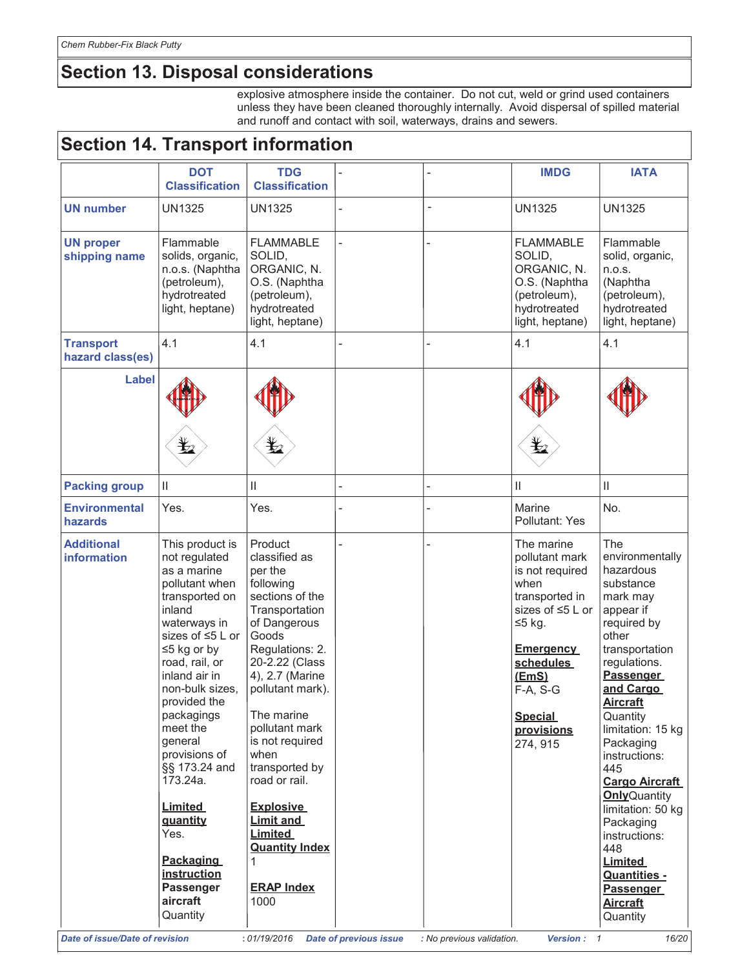# Section 13. Disposal considerations

explosive atmosphere inside the container. Do not cut, weld or grind used containers unless they have been cleaned thoroughly internally. Avoid dispersal of spilled material and runoff and contact with soil, waterways, drains and sewers.

| <b>Section 14. Transport information</b> |                                                                                                                                                                                                                                                                                                                                                       |                                                                                                                                                                                                                                                                                                                                                    |  |    |                                                                                                                                                                                                               |                                                                                                                                                                                                                                                                                                                                                            |
|------------------------------------------|-------------------------------------------------------------------------------------------------------------------------------------------------------------------------------------------------------------------------------------------------------------------------------------------------------------------------------------------------------|----------------------------------------------------------------------------------------------------------------------------------------------------------------------------------------------------------------------------------------------------------------------------------------------------------------------------------------------------|--|----|---------------------------------------------------------------------------------------------------------------------------------------------------------------------------------------------------------------|------------------------------------------------------------------------------------------------------------------------------------------------------------------------------------------------------------------------------------------------------------------------------------------------------------------------------------------------------------|
|                                          | <b>DOT</b><br><b>Classification</b>                                                                                                                                                                                                                                                                                                                   | <b>TDG</b><br><b>Classification</b>                                                                                                                                                                                                                                                                                                                |  |    | <b>IMDG</b>                                                                                                                                                                                                   | <b>IATA</b>                                                                                                                                                                                                                                                                                                                                                |
| <b>UN number</b>                         | <b>UN1325</b>                                                                                                                                                                                                                                                                                                                                         | <b>UN1325</b>                                                                                                                                                                                                                                                                                                                                      |  | L, | <b>UN1325</b>                                                                                                                                                                                                 | <b>UN1325</b>                                                                                                                                                                                                                                                                                                                                              |
| <b>UN proper</b><br>shipping name        | Flammable<br>solids, organic,<br>n.o.s. (Naphtha<br>(petroleum),<br>hydrotreated<br>light, heptane)                                                                                                                                                                                                                                                   | <b>FLAMMABLE</b><br>SOLID,<br>ORGANIC, N.<br>O.S. (Naphtha<br>(petroleum),<br>hydrotreated<br>light, heptane)                                                                                                                                                                                                                                      |  |    | <b>FLAMMABLE</b><br>SOLID,<br>ORGANIC, N.<br>O.S. (Naphtha<br>(petroleum),<br>hydrotreated<br>light, heptane)                                                                                                 | Flammable<br>solid, organic,<br>n.o.s.<br>(Naphtha<br>(petroleum),<br>hydrotreated<br>light, heptane)                                                                                                                                                                                                                                                      |
| <b>Transport</b><br>hazard class(es)     | 4.1                                                                                                                                                                                                                                                                                                                                                   | 4.1                                                                                                                                                                                                                                                                                                                                                |  |    | 4.1                                                                                                                                                                                                           | 4.1                                                                                                                                                                                                                                                                                                                                                        |
| <b>Label</b>                             |                                                                                                                                                                                                                                                                                                                                                       | $\bigstar$                                                                                                                                                                                                                                                                                                                                         |  |    |                                                                                                                                                                                                               |                                                                                                                                                                                                                                                                                                                                                            |
| <b>Packing group</b>                     | Ш                                                                                                                                                                                                                                                                                                                                                     | Ш                                                                                                                                                                                                                                                                                                                                                  |  |    | Ш                                                                                                                                                                                                             | $\ensuremath{\mathsf{II}}$                                                                                                                                                                                                                                                                                                                                 |
| <b>Environmental</b><br><b>hazards</b>   | Yes.                                                                                                                                                                                                                                                                                                                                                  | Yes.                                                                                                                                                                                                                                                                                                                                               |  |    | Marine<br>Pollutant: Yes                                                                                                                                                                                      | No.                                                                                                                                                                                                                                                                                                                                                        |
| <b>Additional</b><br>information         | This product is<br>not regulated<br>as a marine<br>pollutant when<br>transported on<br>inland<br>waterways in<br>sizes of ≤5 L or<br>$\leq$ 5 kg or by<br>road, rail, or<br>inland air in<br>non-bulk sizes,<br>provided the<br>packagings<br>meet the<br>general<br>provisions of<br>§§ 173.24 and<br>173.24a.<br><b>Limited</b><br>quantity<br>Yes. | Product<br>classified as<br>per the<br>following<br>sections of the<br>Transportation<br>of Dangerous<br>Goods<br>Regulations: 2.<br>20-2.22 (Class<br>4), 2.7 (Marine<br>pollutant mark).<br>The marine<br>pollutant mark<br>is not required<br>when<br>transported by<br>road or rail.<br><b>Explosive</b><br><b>Limit and</b><br><b>Limited</b> |  |    | The marine<br>pollutant mark<br>is not required<br>when<br>transported in<br>sizes of ≤5 L or<br>$≤5$ kg.<br><b>Emergency</b><br>schedules<br>(EmS)<br>$F-A, S-G$<br><b>Special</b><br>provisions<br>274, 915 | The<br>environmentally<br>hazardous<br>substance<br>mark may<br>appear if<br>required by<br>other<br>transportation<br>regulations.<br>Passenger<br>and Cargo<br><b>Aircraft</b><br>Quantity<br>limitation: 15 kg<br>Packaging<br>instructions:<br>445<br><b>Cargo Aircraft</b><br><b>Only</b> Quantity<br>limitation: 50 kg<br>Packaging<br>instructions: |
|                                          | <b>Packaging</b><br>instruction<br><b>Passenger</b><br>aircraft<br>Quantity                                                                                                                                                                                                                                                                           | <b>Quantity Index</b><br><b>ERAP Index</b><br>1000                                                                                                                                                                                                                                                                                                 |  |    |                                                                                                                                                                                                               | 448<br><b>Limited</b><br>Quantities -<br><b>Passenger</b><br><u>Aircraft</u><br>Quantity                                                                                                                                                                                                                                                                   |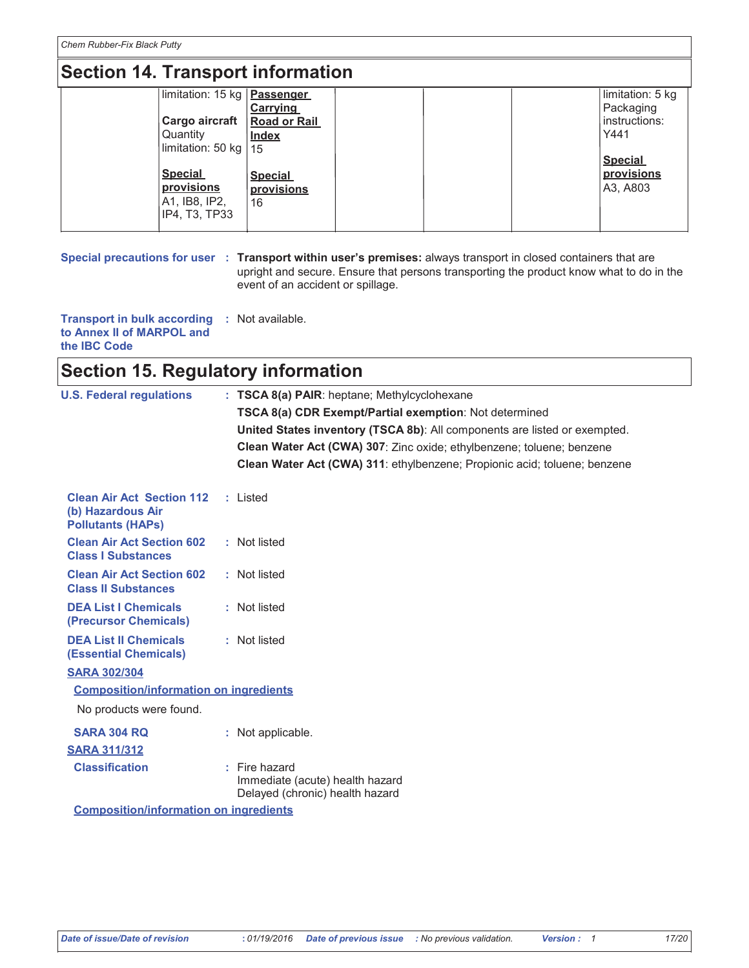Chem Rubber-Fix Black Putty

# **Section 14. Transport information**

| limitation: 15 kg   Passenger |                     |  | limitation: 5 kg |
|-------------------------------|---------------------|--|------------------|
|                               | <b>Carrying</b>     |  | Packaging        |
| Cargo aircraft                | <b>Road or Rail</b> |  | instructions:    |
| Quantity                      | <b>Index</b>        |  | Y441             |
| limitation: 50 kg   15        |                     |  |                  |
|                               |                     |  | <b>Special</b>   |
| <b>Special</b>                | <b>Special</b>      |  | provisions       |
| provisions                    | provisions          |  | A3, A803         |
| A1, IB8, IP2,                 | 16                  |  |                  |
| IP4, T3, TP33                 |                     |  |                  |
|                               |                     |  |                  |

Special precautions for user : Transport within user's premises: always transport in closed containers that are upright and secure. Ensure that persons transporting the product know what to do in the event of an accident or spillage.

Transport in bulk according : Not available. to Annex II of MARPOL and the IBC Code

### **Section 15. Regulatory information**

| <b>U.S. Federal regulations</b>                                                   | : TSCA 8(a) PAIR: heptane; Methylcyclohexane                                          |
|-----------------------------------------------------------------------------------|---------------------------------------------------------------------------------------|
|                                                                                   | TSCA 8(a) CDR Exempt/Partial exemption: Not determined                                |
|                                                                                   | United States inventory (TSCA 8b): All components are listed or exempted.             |
|                                                                                   | Clean Water Act (CWA) 307: Zinc oxide; ethylbenzene; toluene; benzene                 |
|                                                                                   | Clean Water Act (CWA) 311: ethylbenzene; Propionic acid; toluene; benzene             |
| <b>Clean Air Act Section 112</b><br>(b) Hazardous Air<br><b>Pollutants (HAPs)</b> | : Listed                                                                              |
| <b>Clean Air Act Section 602</b><br><b>Class I Substances</b>                     | : Not listed                                                                          |
| <b>Clean Air Act Section 602</b><br><b>Class II Substances</b>                    | : Not listed                                                                          |
| <b>DEA List I Chemicals</b><br>(Precursor Chemicals)                              | : Not listed                                                                          |
| <b>DEA List II Chemicals</b><br><b>(Essential Chemicals)</b>                      | : Not listed                                                                          |
| <b>SARA 302/304</b>                                                               |                                                                                       |
| <b>Composition/information on ingredients</b>                                     |                                                                                       |
| No products were found.                                                           |                                                                                       |
| <b>SARA 304 RQ</b>                                                                | : Not applicable.                                                                     |
| <b>SARA 311/312</b>                                                               |                                                                                       |
| <b>Classification</b>                                                             | $:$ Fire hazard<br>Immediate (acute) health hazard<br>Delayed (chronic) health hazard |
| <b>Composition/information on ingredients</b>                                     |                                                                                       |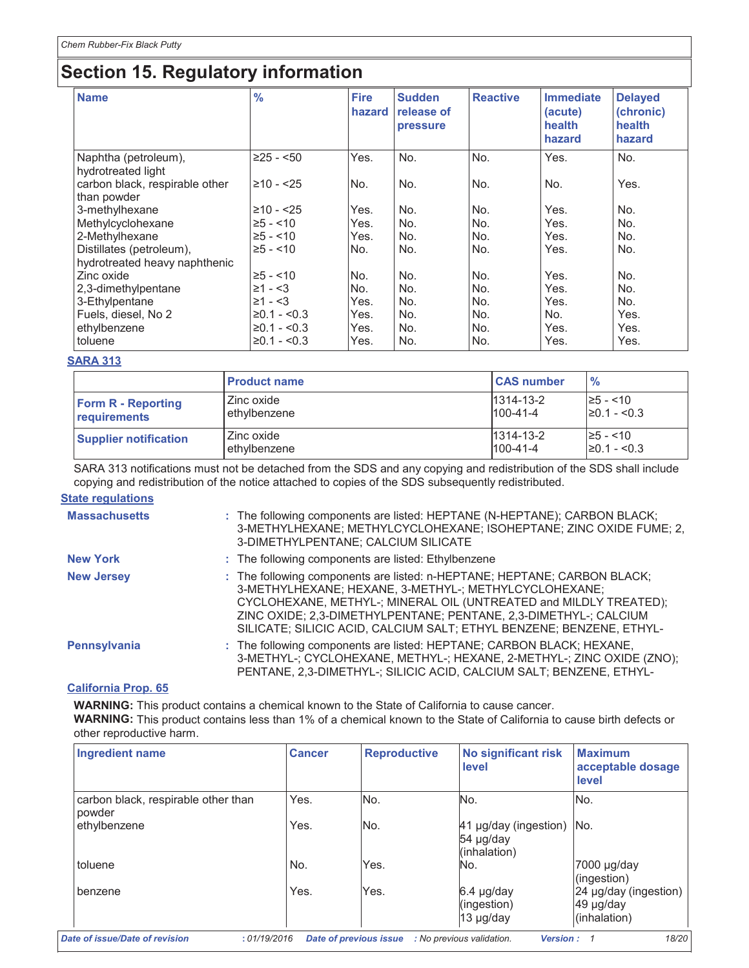# **Section 15. Regulatory information**

| <b>Name</b>                                               | $\frac{9}{6}$ | <b>Fire</b><br>hazard | <b>Sudden</b><br>release of<br>pressure | <b>Reactive</b> | <b>Immediate</b><br>(acute)<br>health<br>hazard | <b>Delayed</b><br>(chronic)<br>health<br>hazard |
|-----------------------------------------------------------|---------------|-----------------------|-----------------------------------------|-----------------|-------------------------------------------------|-------------------------------------------------|
| Naphtha (petroleum),<br>hydrotreated light                | $≥25 - 50$    | Yes.                  | No.                                     | No.             | Yes.                                            | No.                                             |
| carbon black, respirable other<br>than powder             | $≥10 - 25$    | No.                   | No.                                     | No.             | No.                                             | Yes.                                            |
| 3-methylhexane                                            | $≥10 - 25$    | Yes.                  | No.                                     | No.             | Yes.                                            | No.                                             |
| Methylcyclohexane                                         | $\ge 5 - 10$  | Yes.                  | No.                                     | No.             | Yes.                                            | No.                                             |
| 2-Methylhexane                                            | $\ge 5 - 10$  | Yes.                  | No.                                     | No.             | Yes.                                            | No.                                             |
| Distillates (petroleum),<br>hydrotreated heavy naphthenic | $\ge 5 - 10$  | No.                   | No.                                     | No.             | Yes.                                            | No.                                             |
| Zinc oxide                                                | $\geq 5 - 10$ | No.                   | No.                                     | No.             | Yes.                                            | No.                                             |
| 2,3-dimethylpentane                                       | $≥1 - < 3$    | No.                   | No.                                     | No.             | Yes.                                            | No.                                             |
| 3-Ethylpentane                                            | $≥1 - < 3$    | Yes.                  | No.                                     | No.             | Yes.                                            | No.                                             |
| Fuels, diesel, No 2                                       | $≥0.1 - <0.3$ | Yes.                  | No.                                     | No.             | No.                                             | Yes.                                            |
| ethylbenzene                                              | $≥0.1 - <0.3$ | Yes.                  | No.                                     | No.             | Yes.                                            | Yes.                                            |
| toluene                                                   | $≥0.1 - <0.3$ | Yes.                  | No.                                     | No.             | Yes.                                            | Yes.                                            |

#### **SARA 313**

|                              | <b>Product name</b> | <b>CAS number</b> | $\frac{9}{6}$    |
|------------------------------|---------------------|-------------------|------------------|
| <b>Form R - Reporting</b>    | Zinc oxide          | $1314 - 13 - 2$   | $\ge 5 - 10$     |
| requirements                 | ethylbenzene        | $100 - 41 - 4$    | $\geq 0.1 - 5.3$ |
| <b>Supplier notification</b> | Zinc oxide          | $1314 - 13 - 2$   | $\geq 5 - 10$    |
|                              | ethylbenzene        | $100 - 41 - 4$    | $\geq 0.1 - 0.3$ |

SARA 313 notifications must not be detached from the SDS and any copying and redistribution of the SDS shall include copying and redistribution of the notice attached to copies of the SDS subsequently redistributed.

### **State regulations**

| <b>Massachusetts</b> | : The following components are listed: HEPTANE (N-HEPTANE); CARBON BLACK;<br>3-METHYLHEXANE; METHYLCYCLOHEXANE; ISOHEPTANE; ZINC OXIDE FUME; 2,<br>3-DIMETHYLPENTANE; CALCIUM SILICATE                                                                                                                                                             |
|----------------------|----------------------------------------------------------------------------------------------------------------------------------------------------------------------------------------------------------------------------------------------------------------------------------------------------------------------------------------------------|
| <b>New York</b>      | : The following components are listed: Ethylbenzene                                                                                                                                                                                                                                                                                                |
| <b>New Jersey</b>    | : The following components are listed: n-HEPTANE; HEPTANE; CARBON BLACK;<br>3-METHYLHEXANE: HEXANE. 3-METHYL-: METHYLCYCLOHEXANE:<br>CYCLOHEXANE, METHYL-; MINERAL OIL (UNTREATED and MILDLY TREATED);<br>ZINC OXIDE; 2,3-DIMETHYLPENTANE; PENTANE, 2,3-DIMETHYL-; CALCIUM<br>SILICATE; SILICIC ACID, CALCIUM SALT; ETHYL BENZENE; BENZENE, ETHYL- |
| <b>Pennsylvania</b>  | : The following components are listed: HEPTANE; CARBON BLACK; HEXANE,<br>3-METHYL-; CYCLOHEXANE, METHYL-; HEXANE, 2-METHYL-; ZINC OXIDE (ZNO);<br>PENTANE, 2,3-DIMETHYL-; SILICIC ACID, CALCIUM SALT; BENZENE, ETHYL-                                                                                                                              |
|                      |                                                                                                                                                                                                                                                                                                                                                    |

#### **California Prop. 65**

WARNING: This product contains a chemical known to the State of California to cause cancer. WARNING: This product contains less than 1% of a chemical known to the State of California to cause birth defects or other reproductive harm.

| <b>Ingredient name</b>                        | <b>Cancer</b> | <b>Reproductive</b> | <b>No significant risk</b><br>level                    | <b>Maximum</b><br>acceptable dosage<br>level            |
|-----------------------------------------------|---------------|---------------------|--------------------------------------------------------|---------------------------------------------------------|
| carbon black, respirable other than<br>powder | Yes.          | No.                 | No.                                                    | INo.                                                    |
| ethylbenzene                                  | Yes.          | No.                 | 41 µg/day (ingestion) No.<br>54 µg/day<br>(inhalation) |                                                         |
| toluene                                       | No.           | Yes.                | No.                                                    | 7000 µg/day<br>(ingestion)                              |
| benzene                                       | Yes.          | Yes.                | 6.4 µg/day<br>(ingestion)<br>13 µg/day                 | 24 $\mu$ g/day (ingestion)<br>49 µg/day<br>(inhalation) |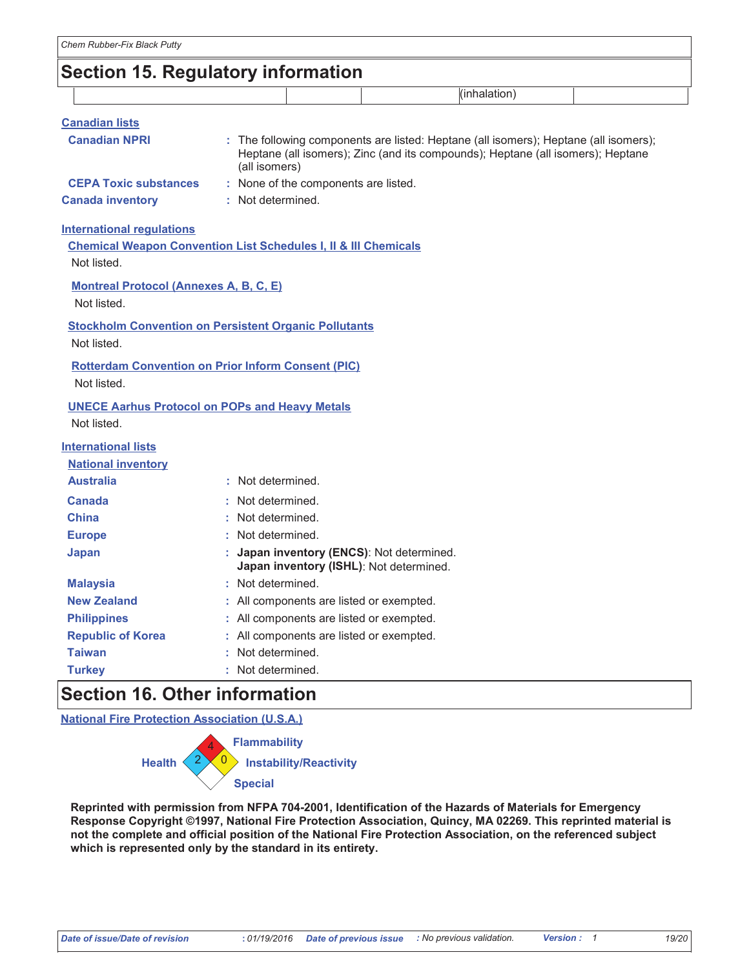## **Section 15. Regulatory information**

| <b>Canadian lists</b>        |                                      |                                                                                                                                                                         |
|------------------------------|--------------------------------------|-------------------------------------------------------------------------------------------------------------------------------------------------------------------------|
| <b>Canadian NPRI</b>         | (all isomers)                        | : The following components are listed: Heptane (all isomers); Heptane (all isomers);<br>Heptane (all isomers); Zinc (and its compounds); Heptane (all isomers); Heptane |
| <b>CEPA Toxic substances</b> | : None of the components are listed. |                                                                                                                                                                         |
| <b>Canada inventory</b>      | : Not determined.                    |                                                                                                                                                                         |

#### **International requlations**

**Chemical Weapon Convention List Schedules I, II & III Chemicals** Not listed

**Montreal Protocol (Annexes A, B, C, E)** 

Not listed.

**Stockholm Convention on Persistent Organic Pollutants** Not listed.

**Rotterdam Convention on Prior Inform Consent (PIC)** Not listed.

#### **UNECE Aarhus Protocol on POPs and Heavy Metals** Not listed.

### **International lists**

| <b>National inventory</b> |                                                                                      |
|---------------------------|--------------------------------------------------------------------------------------|
| <b>Australia</b>          | : Not determined.                                                                    |
| <b>Canada</b>             | : Not determined.                                                                    |
| <b>China</b>              | : Not determined.                                                                    |
| <b>Europe</b>             | : Not determined.                                                                    |
| Japan                     | : Japan inventory (ENCS): Not determined.<br>Japan inventory (ISHL): Not determined. |
| <b>Malaysia</b>           | : Not determined.                                                                    |
| <b>New Zealand</b>        | : All components are listed or exempted.                                             |
| <b>Philippines</b>        | : All components are listed or exempted.                                             |
| <b>Republic of Korea</b>  | All components are listed or exempted.                                               |
| <b>Taiwan</b>             | : Not determined.                                                                    |
| <b>Turkey</b>             | : Not determined.                                                                    |

### **Section 16. Other information**

**National Fire Protection Association (U.S.A.)** 



Reprinted with permission from NFPA 704-2001, Identification of the Hazards of Materials for Emergency Response Copyright ©1997, National Fire Protection Association, Quincy, MA 02269. This reprinted material is not the complete and official position of the National Fire Protection Association, on the referenced subject which is represented only by the standard in its entirety.